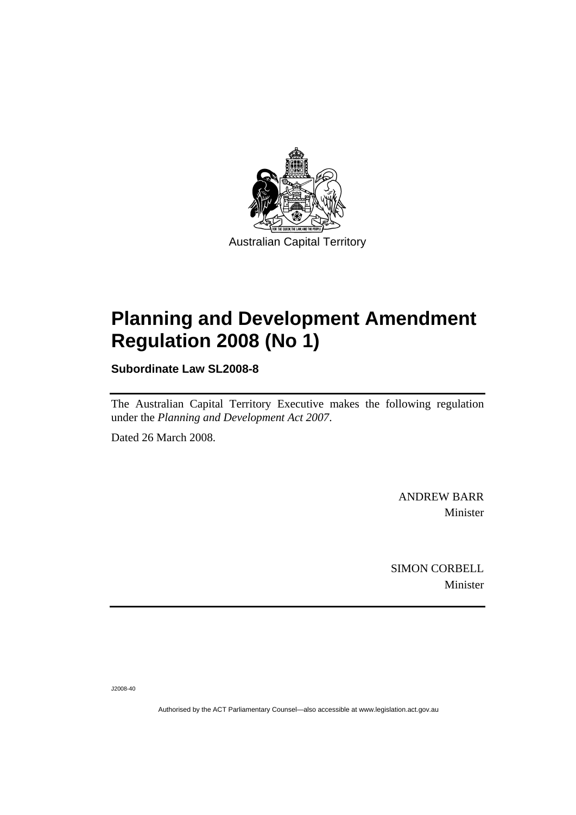

# **[Planning and Development Amendment](#page-2-0)  [Regulation 2008 \(No 1\)](#page-2-0)**

**Subordinate Law SL2008-8** 

The Australian Capital Territory Executive makes the following regulation under the *[Planning and Development Act 2007](#page-2-0)*.

Dated 26 March 2008.

ANDREW BARR Minister

SIMON CORBELL Minister

J2008-40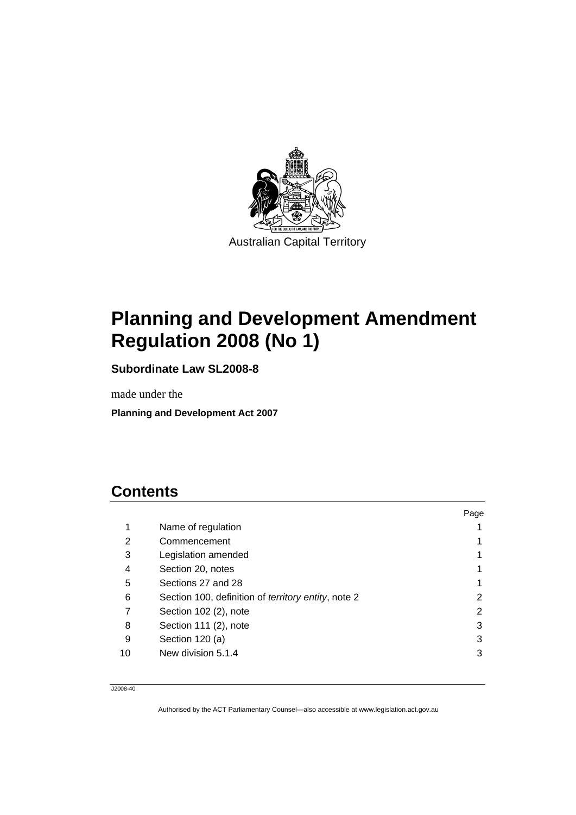<span id="page-2-0"></span>

# **Planning and Development Amendment Regulation 2008 (No 1)**

**Subordinate Law SL2008-8** 

made under the

**Planning and Development Act 2007** 

# **Contents**

|    |                                                            | Page |
|----|------------------------------------------------------------|------|
| 1  | Name of regulation                                         |      |
| 2  | Commencement                                               |      |
| 3  | Legislation amended                                        |      |
| 4  | Section 20, notes                                          |      |
| 5  | Sections 27 and 28                                         |      |
| 6  | Section 100, definition of <i>territory</i> entity, note 2 | 2    |
| 7  | Section 102 (2), note                                      | 2    |
| 8  | Section 111 (2), note                                      | 3    |
| 9  | Section 120 (a)                                            | 3    |
| 10 | New division 5.1.4                                         | 3    |
|    |                                                            |      |

J2008-40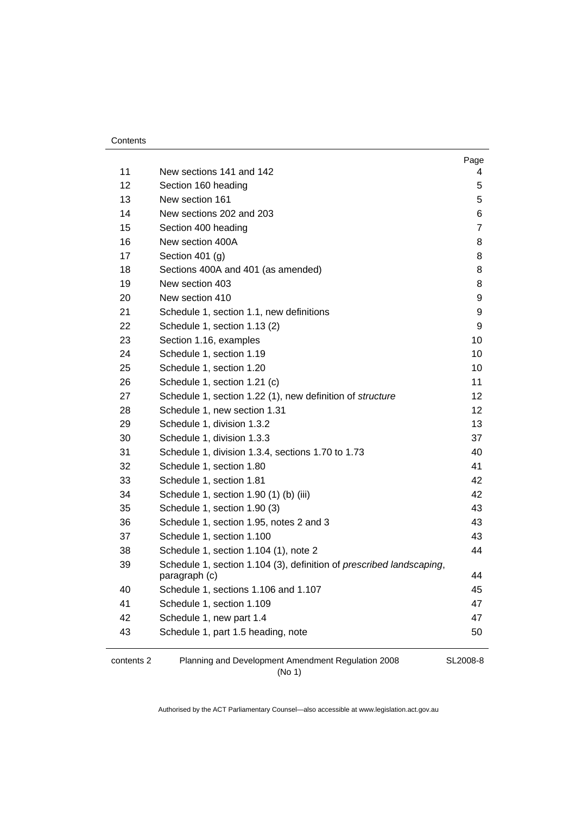#### **Contents**

| 11                | New sections 141 and 142                                                                      | Page<br>4      |
|-------------------|-----------------------------------------------------------------------------------------------|----------------|
| $12 \overline{ }$ | Section 160 heading                                                                           | 5              |
| 13                | New section 161                                                                               | 5              |
| 14                | New sections 202 and 203                                                                      | 6              |
| 15                | Section 400 heading                                                                           | $\overline{7}$ |
| 16                | New section 400A                                                                              | 8              |
| 17                | Section 401 $(g)$                                                                             | 8              |
| 18                | Sections 400A and 401 (as amended)                                                            | 8              |
| 19                | New section 403                                                                               | 8              |
| 20                | New section 410                                                                               | 9              |
| 21                | Schedule 1, section 1.1, new definitions                                                      | 9              |
| 22                | Schedule 1, section 1.13 (2)                                                                  | 9              |
| 23                | Section 1.16, examples                                                                        | 10             |
| 24                | Schedule 1, section 1.19                                                                      | 10             |
| 25                | Schedule 1, section 1.20                                                                      | 10             |
| 26                | Schedule 1, section 1.21 (c)                                                                  | 11             |
| 27                | Schedule 1, section 1.22 (1), new definition of structure                                     | 12             |
| 28                | Schedule 1, new section 1.31                                                                  | 12             |
| 29                | Schedule 1, division 1.3.2                                                                    | 13             |
| 30                | Schedule 1, division 1.3.3                                                                    | 37             |
| 31                | Schedule 1, division 1.3.4, sections 1.70 to 1.73                                             | 40             |
| 32                | Schedule 1, section 1.80                                                                      | 41             |
| 33                | Schedule 1, section 1.81                                                                      | 42             |
| 34                | Schedule 1, section 1.90 (1) (b) (iii)                                                        | 42             |
| 35                | Schedule 1, section 1.90 (3)                                                                  | 43             |
| 36                | Schedule 1, section 1.95, notes 2 and 3                                                       | 43             |
| 37                | Schedule 1, section 1.100                                                                     | 43             |
| 38                | Schedule 1, section 1.104 (1), note 2                                                         | 44             |
| 39                | Schedule 1, section 1.104 (3), definition of <i>prescribed landscaping</i> ,<br>paragraph (c) | 44             |
| 40                | Schedule 1, sections 1.106 and 1.107                                                          | 45             |
| 41                | Schedule 1, section 1.109                                                                     | 47             |
| 42                | Schedule 1, new part 1.4                                                                      | 47             |
| 43                | Schedule 1, part 1.5 heading, note                                                            | 50             |
| contents 2        | Planning and Development Amendment Regulation 2008                                            | SL2008-8       |

(No 1)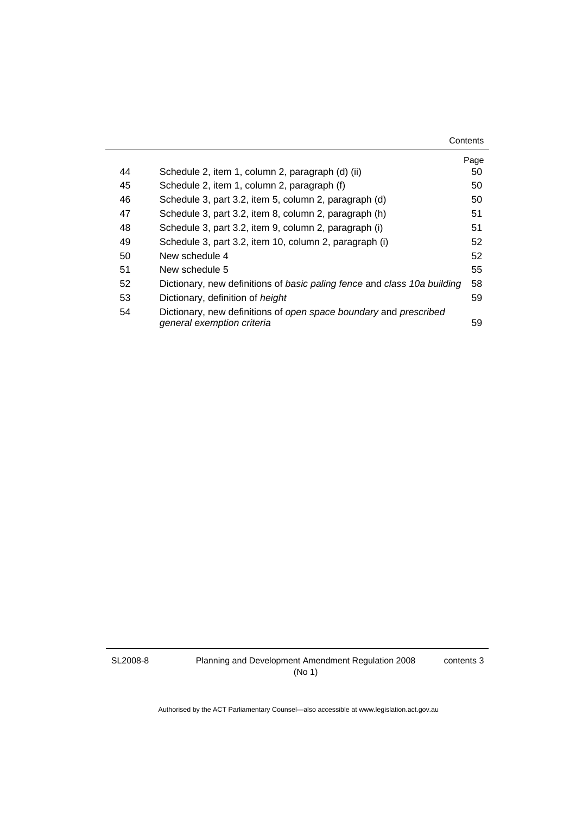|    |                                                                                                 | Page |
|----|-------------------------------------------------------------------------------------------------|------|
| 44 | Schedule 2, item 1, column 2, paragraph (d) (ii)                                                | 50   |
| 45 | Schedule 2, item 1, column 2, paragraph (f)                                                     | 50   |
| 46 | Schedule 3, part 3.2, item 5, column 2, paragraph (d)                                           | 50   |
| 47 | Schedule 3, part 3.2, item 8, column 2, paragraph (h)                                           | 51   |
| 48 | Schedule 3, part 3.2, item 9, column 2, paragraph (i)                                           | 51   |
| 49 | Schedule 3, part 3.2, item 10, column 2, paragraph (i)                                          | 52   |
| 50 | New schedule 4                                                                                  | 52   |
| 51 | New schedule 5                                                                                  | 55   |
| 52 | Dictionary, new definitions of basic paling fence and class 10a building                        | 58   |
| 53 | Dictionary, definition of height                                                                | 59   |
| 54 | Dictionary, new definitions of open space boundary and prescribed<br>general exemption criteria | 59   |

SL2008-8

contents 3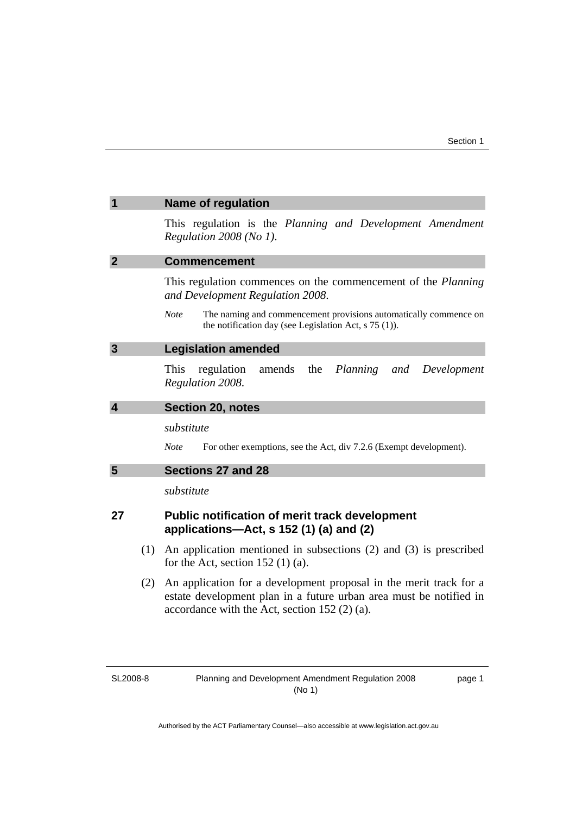<span id="page-6-0"></span>

| 1           |     | <b>Name of regulation</b>                                                                                                                                                                  |  |
|-------------|-----|--------------------------------------------------------------------------------------------------------------------------------------------------------------------------------------------|--|
|             |     | This regulation is the Planning and Development Amendment<br>Regulation 2008 (No 1).                                                                                                       |  |
| $\mathbf 2$ |     | <b>Commencement</b>                                                                                                                                                                        |  |
|             |     | This regulation commences on the commencement of the <i>Planning</i><br>and Development Regulation 2008.                                                                                   |  |
|             |     | <b>Note</b><br>The naming and commencement provisions automatically commence on<br>the notification day (see Legislation Act, $s$ 75 (1)).                                                 |  |
| 3           |     | <b>Legislation amended</b>                                                                                                                                                                 |  |
|             |     | the<br>Planning<br><b>This</b><br>regulation<br>amends<br>and<br>Development<br>Regulation 2008.                                                                                           |  |
| 4           |     | <b>Section 20, notes</b>                                                                                                                                                                   |  |
|             |     | substitute                                                                                                                                                                                 |  |
|             |     | For other exemptions, see the Act, div 7.2.6 (Exempt development).<br><b>Note</b>                                                                                                          |  |
| 5           |     | Sections 27 and 28                                                                                                                                                                         |  |
|             |     | substitute                                                                                                                                                                                 |  |
| 27          |     | <b>Public notification of merit track development</b><br>applications-Act, s 152 (1) (a) and (2)                                                                                           |  |
|             | (1) | An application mentioned in subsections $(2)$ and $(3)$ is prescribed<br>for the Act, section $152(1)(a)$ .                                                                                |  |
|             | (2) | An application for a development proposal in the merit track for a<br>estate development plan in a future urban area must be notified in<br>accordance with the Act, section $152(2)(a)$ . |  |
|             |     |                                                                                                                                                                                            |  |

SL2008-8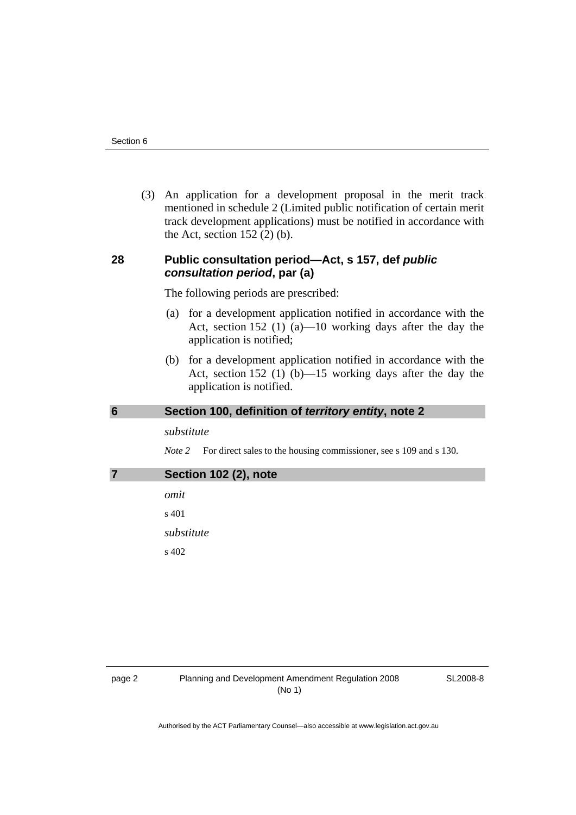<span id="page-7-0"></span> (3) An application for a development proposal in the merit track mentioned in schedule 2 (Limited public notification of certain merit track development applications) must be notified in accordance with the Act, section  $152$  (2) (b).

# **28 Public consultation period—Act, s 157, def** *public consultation period***, par (a)**

The following periods are prescribed:

- (a) for a development application notified in accordance with the Act, section 152 (1) (a)—10 working days after the day the application is notified;
- (b) for a development application notified in accordance with the Act, section 152 (1) (b)—15 working days after the day the application is notified.

#### **6 Section 100, definition of** *territory entity***, note 2**

#### *substitute*

*Note* 2 For direct sales to the housing commissioner, see s 109 and s 130.

**7 Section 102 (2), note** 

*omit*  s 401

*substitute* 

s 402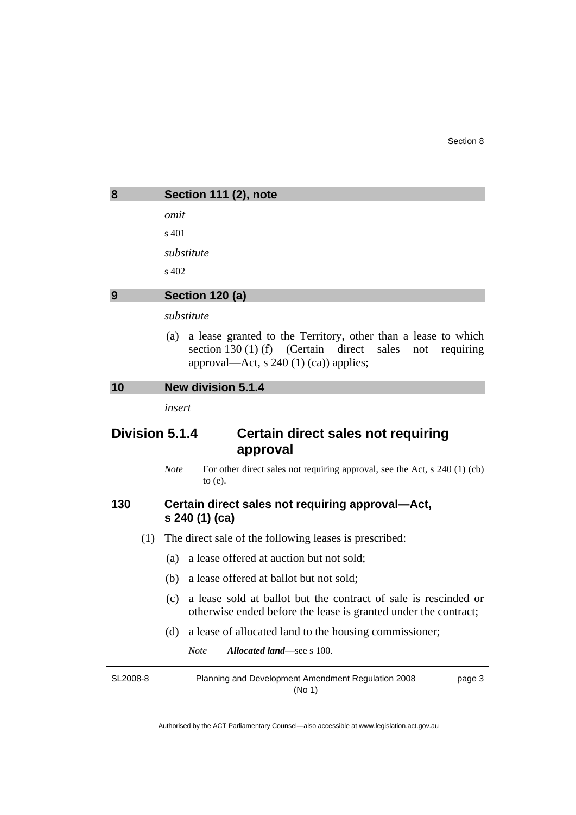<span id="page-8-0"></span>

| 8                                                                | Section 111 (2), note                                                                                                                                                             |  |
|------------------------------------------------------------------|-----------------------------------------------------------------------------------------------------------------------------------------------------------------------------------|--|
|                                                                  | omit                                                                                                                                                                              |  |
|                                                                  | s 401                                                                                                                                                                             |  |
|                                                                  | substitute                                                                                                                                                                        |  |
|                                                                  | s 402                                                                                                                                                                             |  |
| 9                                                                | Section 120 (a)                                                                                                                                                                   |  |
|                                                                  | substitute                                                                                                                                                                        |  |
|                                                                  | a lease granted to the Territory, other than a lease to which<br>(a)<br>section 130 (1) (f) (Certain direct<br>sales<br>requiring<br>not<br>approval—Act, s $240(1)(ca)$ applies; |  |
| 10                                                               | <b>New division 5.1.4</b>                                                                                                                                                         |  |
|                                                                  | insert                                                                                                                                                                            |  |
| Division 5.1.4<br>Certain direct sales not requiring<br>approval |                                                                                                                                                                                   |  |
|                                                                  |                                                                                                                                                                                   |  |
|                                                                  | <b>Note</b><br>For other direct sales not requiring approval, see the Act, $s$ 240 (1) (cb)<br>to $(e)$ .                                                                         |  |
| 130                                                              | Certain direct sales not requiring approval-Act,<br>s 240 (1) (ca)                                                                                                                |  |
| (1)                                                              | The direct sale of the following leases is prescribed:                                                                                                                            |  |

- (b) a lease offered at ballot but not sold;
- (c) a lease sold at ballot but the contract of sale is rescinded or otherwise ended before the lease is granted under the contract;
- (d) a lease of allocated land to the housing commissioner;

*Note Allocated land*—see s 100.

SL2008-8 Planning and Development Amendment Regulation 2008 (No 1) page 3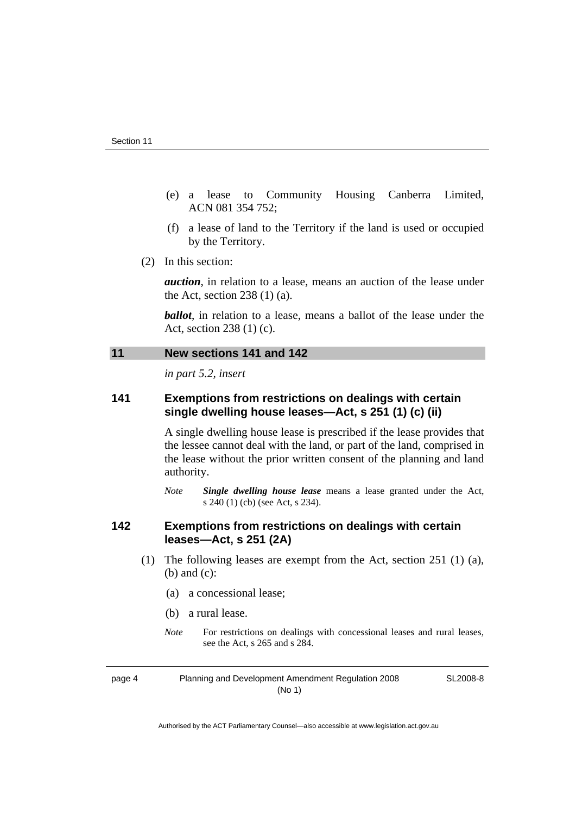- <span id="page-9-0"></span> (e) a lease to Community Housing Canberra Limited, ACN 081 354 752;
- (f) a lease of land to the Territory if the land is used or occupied by the Territory.
- (2) In this section:

*auction*, in relation to a lease, means an auction of the lease under the Act, section  $238(1)(a)$ .

*ballot*, in relation to a lease, means a ballot of the lease under the Act, section 238 (1) (c).

#### **11 New sections 141 and 142**

*in part 5.2, insert* 

# **141 Exemptions from restrictions on dealings with certain single dwelling house leases—Act, s 251 (1) (c) (ii)**

A single dwelling house lease is prescribed if the lease provides that the lessee cannot deal with the land, or part of the land, comprised in the lease without the prior written consent of the planning and land authority.

*Note Single dwelling house lease* means a lease granted under the Act, s 240 (1) (cb) (see Act, s 234).

# **142 Exemptions from restrictions on dealings with certain leases—Act, s 251 (2A)**

- (1) The following leases are exempt from the Act, section 251 (1) (a), (b) and (c):
	- (a) a concessional lease;
	- (b) a rural lease.
	- *Note* For restrictions on dealings with concessional leases and rural leases, see the Act, s 265 and s 284.

page 4 Planning and Development Amendment Regulation 2008 (No 1)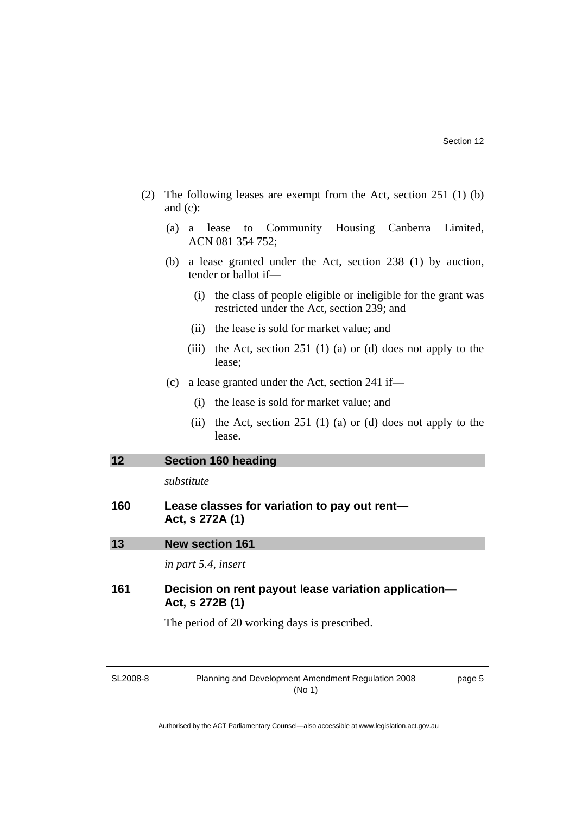- <span id="page-10-0"></span> (2) The following leases are exempt from the Act, section 251 (1) (b) and (c):
	- (a) a lease to Community Housing Canberra Limited, ACN 081 354 752;
	- (b) a lease granted under the Act, section 238 (1) by auction, tender or ballot if—
		- (i) the class of people eligible or ineligible for the grant was restricted under the Act, section 239; and
		- (ii) the lease is sold for market value; and
		- (iii) the Act, section  $251$  (1) (a) or (d) does not apply to the lease;
	- (c) a lease granted under the Act, section 241 if—
		- (i) the lease is sold for market value; and
		- (ii) the Act, section 251 (1) (a) or (d) does not apply to the lease.

# **12 Section 160 heading**

*substitute* 

| 160 | Lease classes for variation to pay out rent- |  |
|-----|----------------------------------------------|--|
|     | Act, s 272A (1)                              |  |

| 13 | <b>New section 161</b> |  |
|----|------------------------|--|
|    |                        |  |

*in part 5.4, insert* 

# **161 Decision on rent payout lease variation application— Act, s 272B (1)**

The period of 20 working days is prescribed.

SL2008-8

Planning and Development Amendment Regulation 2008 (No 1)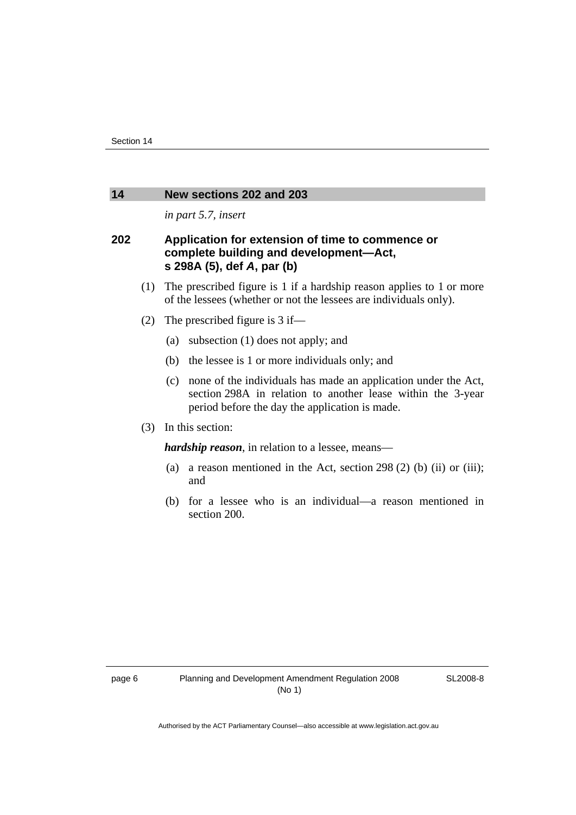#### <span id="page-11-0"></span>**14 New sections 202 and 203**

*in part 5.7, insert* 

# **202 Application for extension of time to commence or complete building and development—Act, s 298A (5), def** *A***, par (b)**

- (1) The prescribed figure is 1 if a hardship reason applies to 1 or more of the lessees (whether or not the lessees are individuals only).
- (2) The prescribed figure is 3 if—
	- (a) subsection (1) does not apply; and
	- (b) the lessee is 1 or more individuals only; and
	- (c) none of the individuals has made an application under the Act, section 298A in relation to another lease within the 3-year period before the day the application is made.
- (3) In this section:

*hardship reason*, in relation to a lessee, means—

- (a) a reason mentioned in the Act, section 298 (2) (b) (ii) or (iii); and
- (b) for a lessee who is an individual—a reason mentioned in section 200.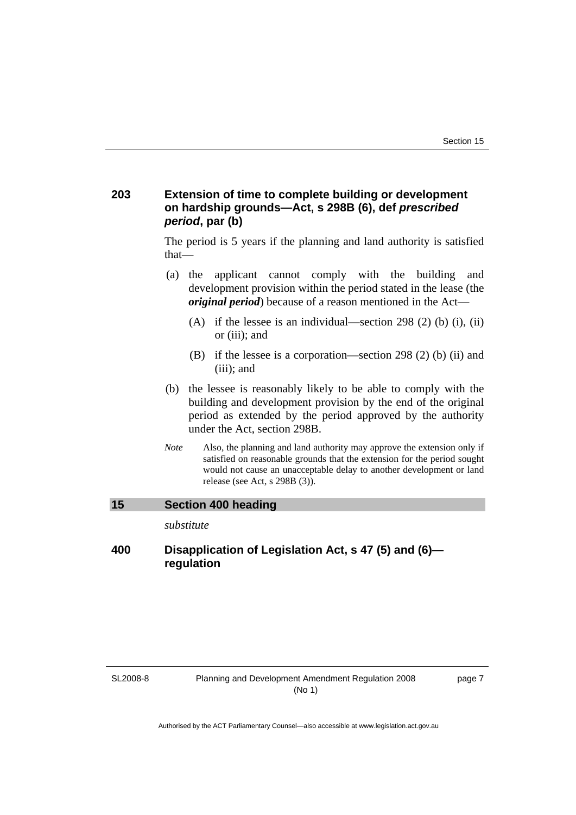# <span id="page-12-0"></span>**203 Extension of time to complete building or development on hardship grounds—Act, s 298B (6), def** *prescribed period***, par (b)**

The period is 5 years if the planning and land authority is satisfied that—

- (a) the applicant cannot comply with the building and development provision within the period stated in the lease (the *original period*) because of a reason mentioned in the Act—
	- (A) if the lessee is an individual—section 298 (2) (b) (i), (ii) or (iii); and
	- (B) if the lessee is a corporation—section 298 (2) (b) (ii) and (iii); and
- (b) the lessee is reasonably likely to be able to comply with the building and development provision by the end of the original period as extended by the period approved by the authority under the Act, section 298B.
- *Note* Also, the planning and land authority may approve the extension only if satisfied on reasonable grounds that the extension for the period sought would not cause an unacceptable delay to another development or land release (see Act, s 298B (3)).

# **15 Section 400 heading**

*substitute* 

# **400 Disapplication of Legislation Act, s 47 (5) and (6) regulation**

#### SL2008-8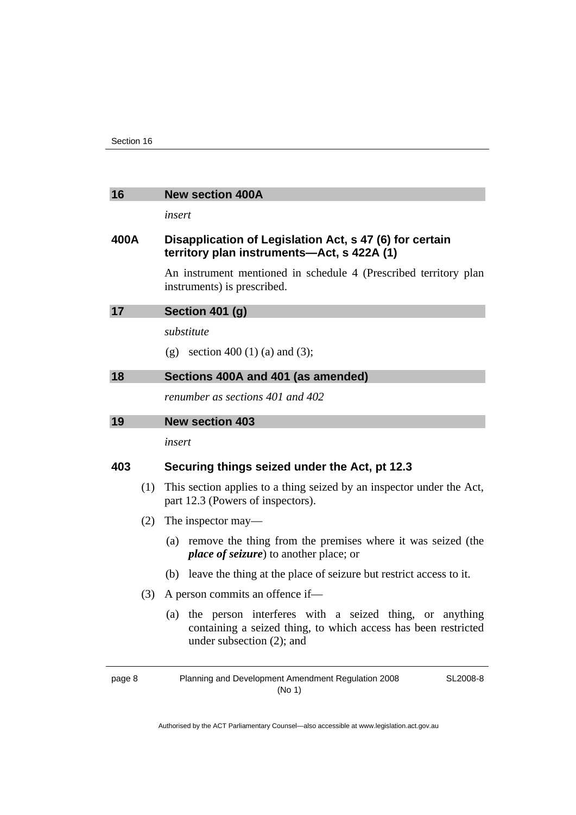<span id="page-13-0"></span>

| 16 | <b>New section 400A</b> |  |
|----|-------------------------|--|
|    |                         |  |

*insert* 

# **400A Disapplication of Legislation Act, s 47 (6) for certain territory plan instruments—Act, s 422A (1)**

An instrument mentioned in schedule 4 (Prescribed territory plan instruments) is prescribed.

| 17 | Section 401 (g)                     |
|----|-------------------------------------|
|    | substitute                          |
|    | section 400 (1) (a) and (3);<br>(g) |
| 18 | Sections 400A and 401 (as amended)  |

*renumber as sections 401 and 402* 

*insert* 

#### **403 Securing things seized under the Act, pt 12.3**

- (1) This section applies to a thing seized by an inspector under the Act, part 12.3 (Powers of inspectors).
- (2) The inspector may—
	- (a) remove the thing from the premises where it was seized (the *place of seizure*) to another place; or
	- (b) leave the thing at the place of seizure but restrict access to it.
- (3) A person commits an offence if—
	- (a) the person interferes with a seized thing, or anything containing a seized thing, to which access has been restricted under subsection (2); and

page 8 Planning and Development Amendment Regulation 2008 (No 1)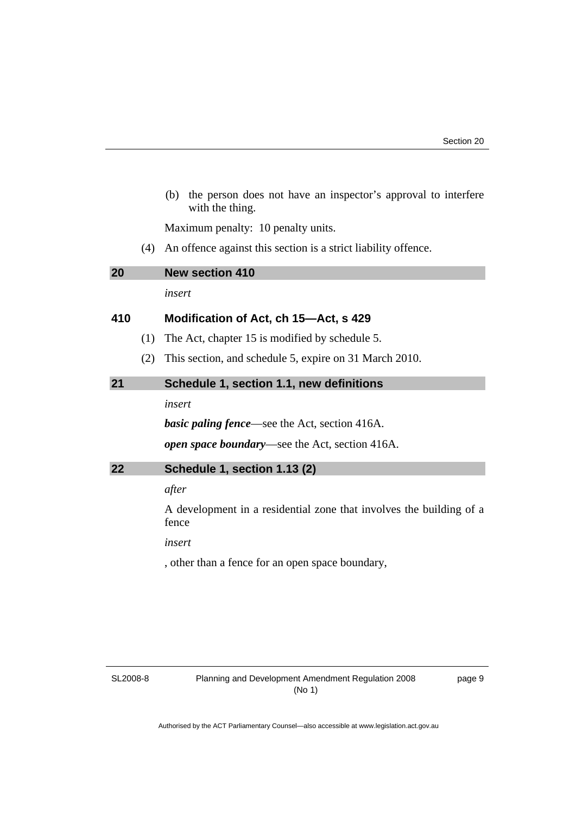<span id="page-14-0"></span> (b) the person does not have an inspector's approval to interfere with the thing.

Maximum penalty: 10 penalty units.

(4) An offence against this section is a strict liability offence.

| 20  |     | <b>New section 410</b>                                                       |
|-----|-----|------------------------------------------------------------------------------|
|     |     | insert                                                                       |
| 410 |     | Modification of Act, ch 15—Act, s 429                                        |
|     | (1) | The Act, chapter 15 is modified by schedule 5.                               |
|     | (2) | This section, and schedule 5, expire on 31 March 2010.                       |
| 21  |     | Schedule 1, section 1.1, new definitions                                     |
|     |     | insert                                                                       |
|     |     | <b>basic paling fence</b> —see the Act, section 416A.                        |
|     |     | <i>open space boundary</i> —see the Act, section 416A.                       |
| 22  |     | Schedule 1, section 1.13 (2)                                                 |
|     |     | after                                                                        |
|     |     | A development in a residential zone that involves the building of a<br>fence |
|     |     | insert                                                                       |

, other than a fence for an open space boundary,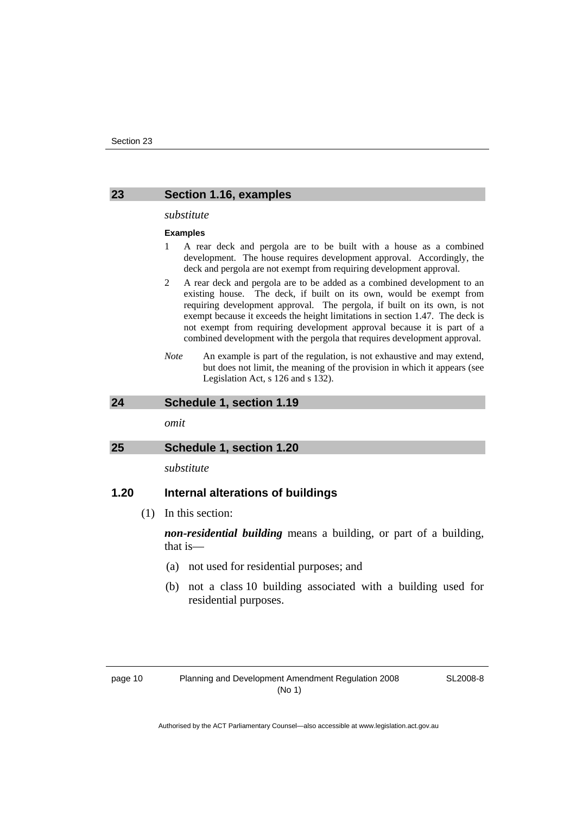#### <span id="page-15-0"></span>**23 Section 1.16, examples**

#### *substitute*

#### **Examples**

- 1 A rear deck and pergola are to be built with a house as a combined development. The house requires development approval. Accordingly, the deck and pergola are not exempt from requiring development approval.
- 2 A rear deck and pergola are to be added as a combined development to an existing house. The deck, if built on its own, would be exempt from requiring development approval. The pergola, if built on its own, is not exempt because it exceeds the height limitations in section 1.47. The deck is not exempt from requiring development approval because it is part of a combined development with the pergola that requires development approval.
- *Note* An example is part of the regulation, is not exhaustive and may extend, but does not limit, the meaning of the provision in which it appears (see Legislation Act, s 126 and s 132).

#### **24 Schedule 1, section 1.19**

*omit* 

#### **25 Schedule 1, section 1.20**

*substitute* 

# **1.20 Internal alterations of buildings**

(1) In this section:

*non-residential building* means a building, or part of a building, that is—

- (a) not used for residential purposes; and
- (b) not a class 10 building associated with a building used for residential purposes.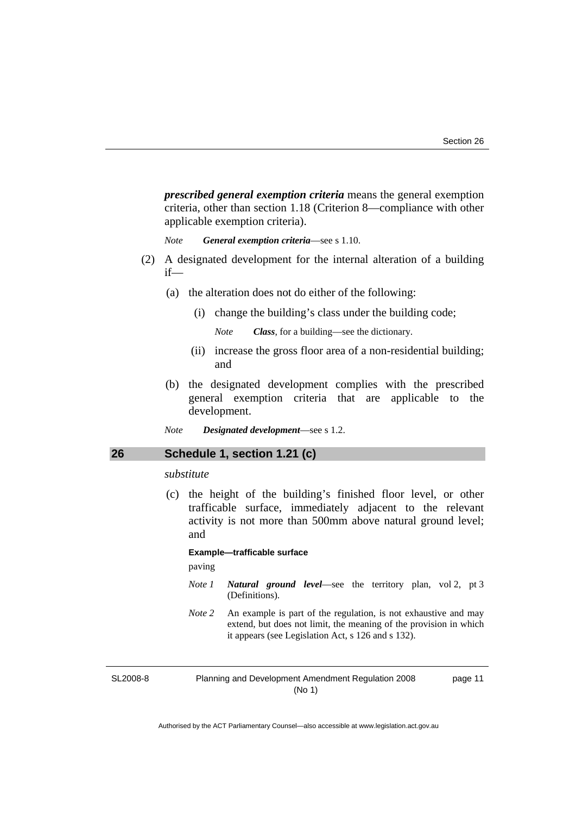<span id="page-16-0"></span>*prescribed general exemption criteria* means the general exemption criteria, other than section 1.18 (Criterion 8—compliance with other applicable exemption criteria).

*Note General exemption criteria*—see s 1.10.

- (2) A designated development for the internal alteration of a building if—
	- (a) the alteration does not do either of the following:
		- (i) change the building's class under the building code;

*Note Class*, for a building—see the dictionary.

- (ii) increase the gross floor area of a non-residential building; and
- (b) the designated development complies with the prescribed general exemption criteria that are applicable to the development.
- *Note Designated development*—see s 1.2.

#### **26 Schedule 1, section 1.21 (c)**

#### *substitute*

 (c) the height of the building's finished floor level, or other trafficable surface, immediately adjacent to the relevant activity is not more than 500mm above natural ground level; and

#### **Example—trafficable surface**

paving

- *Note 1 Natural ground level*—see the territory plan, vol 2, pt 3 (Definitions).
- *Note 2* An example is part of the regulation, is not exhaustive and may extend, but does not limit, the meaning of the provision in which it appears (see Legislation Act, s 126 and s 132).

SL2008-8

Planning and Development Amendment Regulation 2008 (No 1)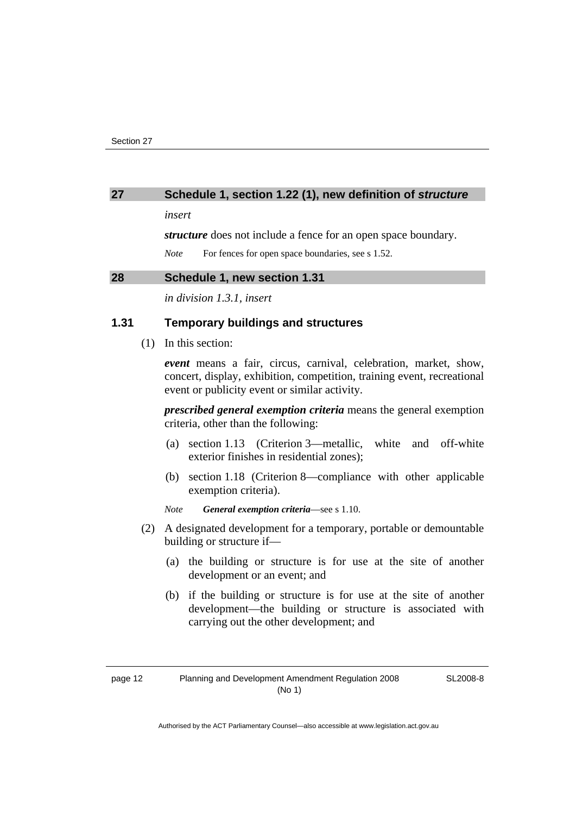#### <span id="page-17-0"></span>**27 Schedule 1, section 1.22 (1), new definition of** *structure*

*insert* 

*structure* does not include a fence for an open space boundary.

*Note* For fences for open space boundaries, see s 1.52.

# **28 Schedule 1, new section 1.31**

*in division 1.3.1, insert* 

# **1.31 Temporary buildings and structures**

(1) In this section:

*event* means a fair, circus, carnival, celebration, market, show, concert, display, exhibition, competition, training event, recreational event or publicity event or similar activity.

*prescribed general exemption criteria* means the general exemption criteria, other than the following:

- (a) section 1.13 (Criterion 3—metallic, white and off-white exterior finishes in residential zones);
- (b) section 1.18 (Criterion 8—compliance with other applicable exemption criteria).
- *Note General exemption criteria*—see s 1.10.
- (2) A designated development for a temporary, portable or demountable building or structure if—
	- (a) the building or structure is for use at the site of another development or an event; and
	- (b) if the building or structure is for use at the site of another development—the building or structure is associated with carrying out the other development; and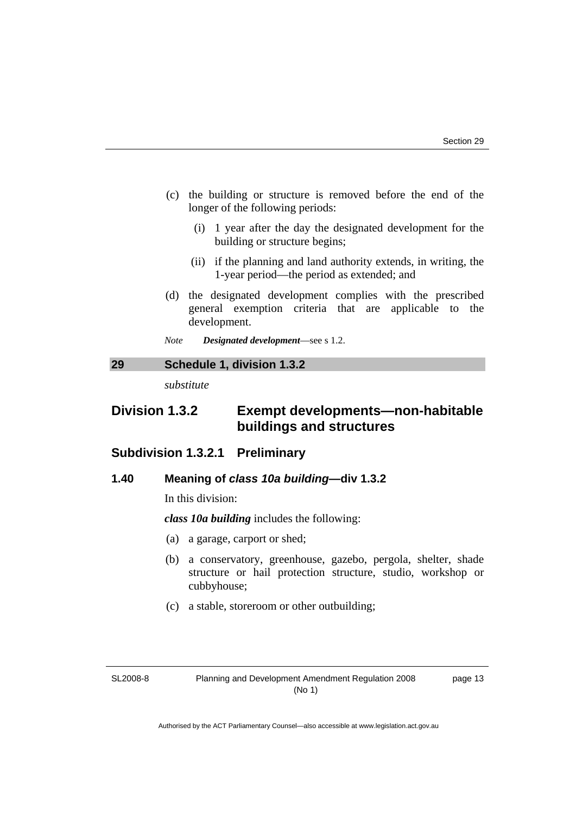- <span id="page-18-0"></span> (c) the building or structure is removed before the end of the longer of the following periods:
	- (i) 1 year after the day the designated development for the building or structure begins;
	- (ii) if the planning and land authority extends, in writing, the 1-year period—the period as extended; and
- (d) the designated development complies with the prescribed general exemption criteria that are applicable to the development.
- *Note Designated development*—see s 1.2.

**29 Schedule 1, division 1.3.2** 

*substitute* 

# **Division 1.3.2 Exempt developments—non-habitable buildings and structures**

# **Subdivision 1.3.2.1 Preliminary**

## **1.40 Meaning of** *class 10a building***—div 1.3.2**

In this division:

*class 10a building* includes the following:

- (a) a garage, carport or shed;
- (b) a conservatory, greenhouse, gazebo, pergola, shelter, shade structure or hail protection structure, studio, workshop or cubbyhouse;
- (c) a stable, storeroom or other outbuilding;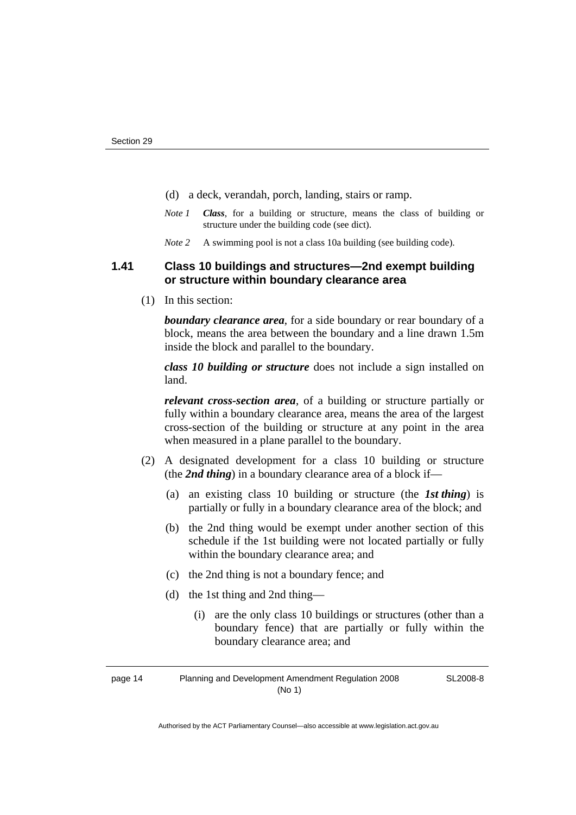- (d) a deck, verandah, porch, landing, stairs or ramp.
- *Note 1 Class*, for a building or structure, means the class of building or structure under the building code (see dict).
- *Note 2* A swimming pool is not a class 10a building (see building code).

# **1.41 Class 10 buildings and structures—2nd exempt building or structure within boundary clearance area**

(1) In this section:

*boundary clearance area*, for a side boundary or rear boundary of a block, means the area between the boundary and a line drawn 1.5m inside the block and parallel to the boundary.

*class 10 building or structure* does not include a sign installed on land.

*relevant cross-section area*, of a building or structure partially or fully within a boundary clearance area, means the area of the largest cross-section of the building or structure at any point in the area when measured in a plane parallel to the boundary.

- (2) A designated development for a class 10 building or structure (the *2nd thing*) in a boundary clearance area of a block if—
	- (a) an existing class 10 building or structure (the *1st thing*) is partially or fully in a boundary clearance area of the block; and
	- (b) the 2nd thing would be exempt under another section of this schedule if the 1st building were not located partially or fully within the boundary clearance area; and
	- (c) the 2nd thing is not a boundary fence; and
	- (d) the 1st thing and 2nd thing—
		- (i) are the only class 10 buildings or structures (other than a boundary fence) that are partially or fully within the boundary clearance area; and

page 14 Planning and Development Amendment Regulation 2008 (No 1)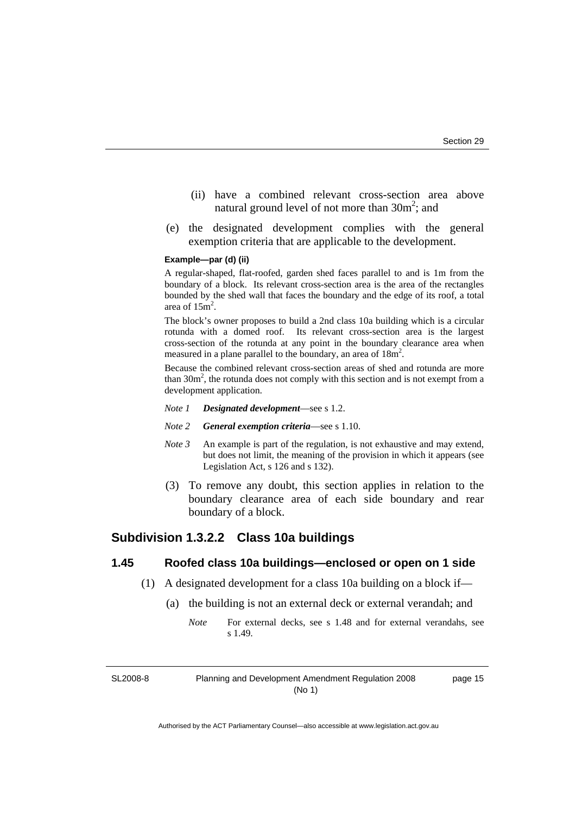- (ii) have a combined relevant cross-section area above natural ground level of not more than  $30m^2$ ; and
- (e) the designated development complies with the general exemption criteria that are applicable to the development.

#### **Example—par (d) (ii)**

A regular-shaped, flat-roofed, garden shed faces parallel to and is 1m from the boundary of a block. Its relevant cross-section area is the area of the rectangles bounded by the shed wall that faces the boundary and the edge of its roof, a total area of  $15m^2$ .

The block's owner proposes to build a 2nd class 10a building which is a circular rotunda with a domed roof. Its relevant cross-section area is the largest cross-section of the rotunda at any point in the boundary clearance area when measured in a plane parallel to the boundary, an area of  $18m^2$ .

Because the combined relevant cross-section areas of shed and rotunda are more than  $30m^2$ , the rotunda does not comply with this section and is not exempt from a development application.

- *Note 1 Designated development*—see s 1.2.
- *Note 2 General exemption criteria*—see s 1.10.
- *Note 3* An example is part of the regulation, is not exhaustive and may extend, but does not limit, the meaning of the provision in which it appears (see Legislation Act, s 126 and s 132).
- (3) To remove any doubt, this section applies in relation to the boundary clearance area of each side boundary and rear boundary of a block.

# **Subdivision 1.3.2.2 Class 10a buildings**

# **1.45 Roofed class 10a buildings—enclosed or open on 1 side**

- (1) A designated development for a class 10a building on a block if—
	- (a) the building is not an external deck or external verandah; and
		- *Note* For external decks, see s 1.48 and for external verandahs, see s 1.49.

SL2008-8

Planning and Development Amendment Regulation 2008 (No 1)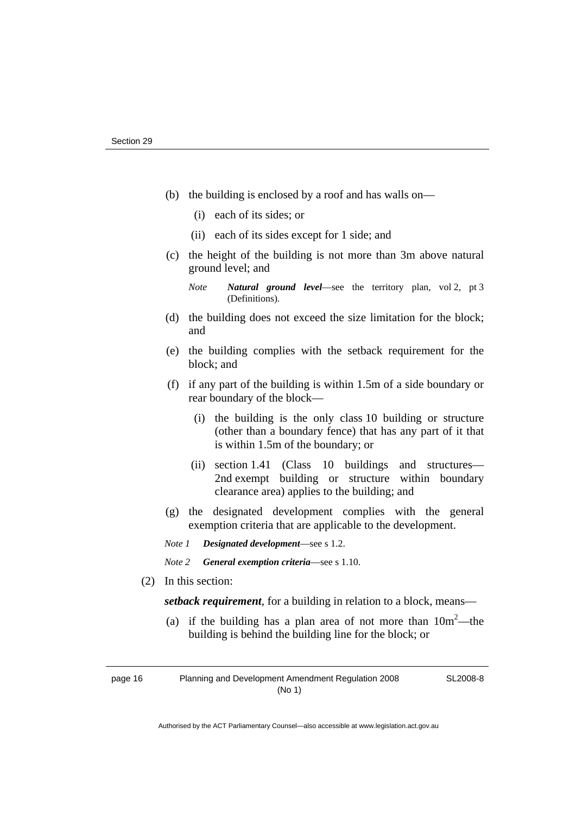- (b) the building is enclosed by a roof and has walls on—
	- (i) each of its sides; or
	- (ii) each of its sides except for 1 side; and
- (c) the height of the building is not more than 3m above natural ground level; and
	- *Note Natural ground level*—see the territory plan, vol 2, pt 3 (Definitions).
- (d) the building does not exceed the size limitation for the block; and
- (e) the building complies with the setback requirement for the block; and
- (f) if any part of the building is within 1.5m of a side boundary or rear boundary of the block—
	- (i) the building is the only class 10 building or structure (other than a boundary fence) that has any part of it that is within 1.5m of the boundary; or
	- (ii) section 1.41 (Class 10 buildings and structures— 2nd exempt building or structure within boundary clearance area) applies to the building; and
- (g) the designated development complies with the general exemption criteria that are applicable to the development.

*Note 1 Designated development*—see s 1.2.

- *Note 2 General exemption criteria*—see s 1.10.
- (2) In this section:

*setback requirement*, for a building in relation to a block, means—

(a) if the building has a plan area of not more than  $10m^2$ —the building is behind the building line for the block; or

page 16 Planning and Development Amendment Regulation 2008 (No 1)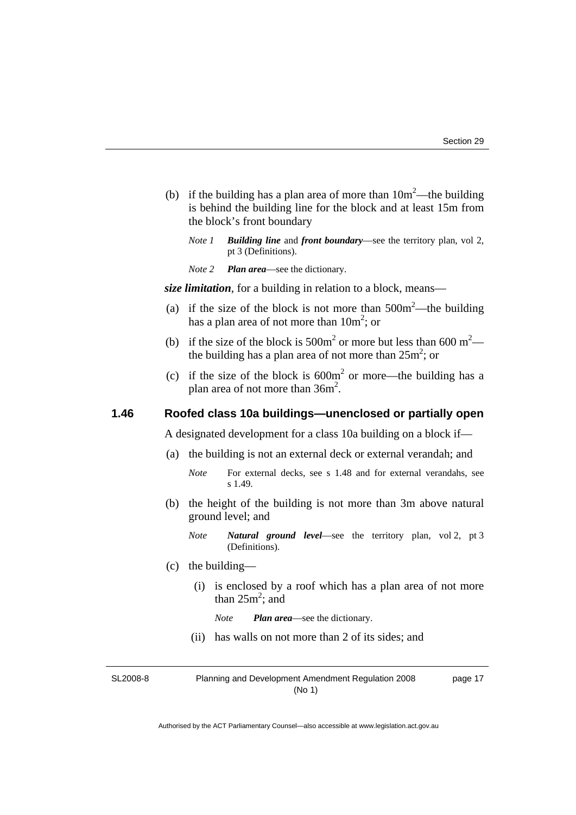- (b) if the building has a plan area of more than  $10m^2$ —the building is behind the building line for the block and at least 15m from the block's front boundary
	- *Note 1 Building line* and *front boundary*—see the territory plan, vol 2, pt 3 (Definitions).
	- *Note 2 Plan area*—see the dictionary.

*size limitation*, for a building in relation to a block, means—

- (a) if the size of the block is not more than  $500m^2$ —the building has a plan area of not more than  $10m^2$ ; or
- (b) if the size of the block is  $500m^2$  or more but less than  $600 m^2$  the building has a plan area of not more than  $25m^2$ ; or
- (c) if the size of the block is  $600m^2$  or more—the building has a plan area of not more than  $36m^2$ .

# **1.46 Roofed class 10a buildings—unenclosed or partially open**

A designated development for a class 10a building on a block if—

- (a) the building is not an external deck or external verandah; and
	- *Note* For external decks, see s 1.48 and for external verandahs, see s 1.49.
- (b) the height of the building is not more than 3m above natural ground level; and
	- *Note Natural ground level*—see the territory plan, vol 2, pt 3 (Definitions).
- (c) the building—
	- (i) is enclosed by a roof which has a plan area of not more than  $25m^2$ ; and

*Note Plan area*—see the dictionary.

(ii) has walls on not more than 2 of its sides; and

SL2008-8

Planning and Development Amendment Regulation 2008 (No 1)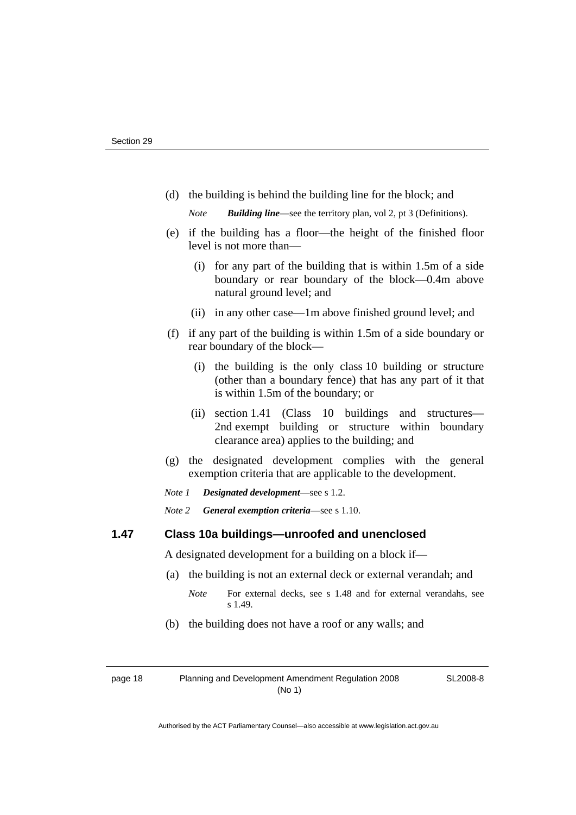(d) the building is behind the building line for the block; and

*Note Building line*—see the territory plan, vol 2, pt 3 (Definitions).

- (e) if the building has a floor—the height of the finished floor level is not more than—
	- (i) for any part of the building that is within 1.5m of a side boundary or rear boundary of the block—0.4m above natural ground level; and
	- (ii) in any other case—1m above finished ground level; and
- (f) if any part of the building is within 1.5m of a side boundary or rear boundary of the block—
	- (i) the building is the only class 10 building or structure (other than a boundary fence) that has any part of it that is within 1.5m of the boundary; or
	- (ii) section 1.41 (Class 10 buildings and structures— 2nd exempt building or structure within boundary clearance area) applies to the building; and
- (g) the designated development complies with the general exemption criteria that are applicable to the development.

*Note 1 Designated development*—see s 1.2.

*Note 2 General exemption criteria*—see s 1.10.

# **1.47 Class 10a buildings—unroofed and unenclosed**

A designated development for a building on a block if—

- (a) the building is not an external deck or external verandah; and
	- *Note* For external decks, see s 1.48 and for external verandahs, see s 1.49.
- (b) the building does not have a roof or any walls; and

page 18 Planning and Development Amendment Regulation 2008 (No 1)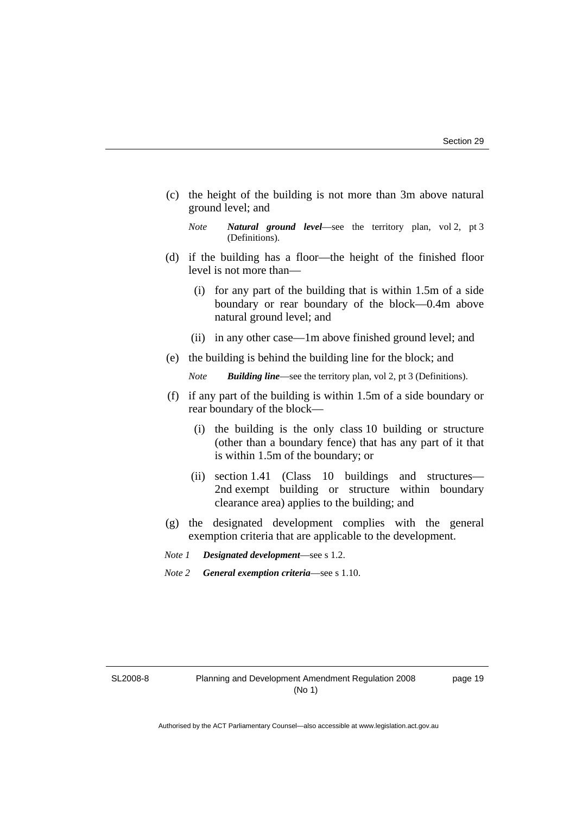(c) the height of the building is not more than 3m above natural ground level; and

*Note Natural ground level*—see the territory plan, vol 2, pt 3 (Definitions).

- (d) if the building has a floor—the height of the finished floor level is not more than—
	- (i) for any part of the building that is within 1.5m of a side boundary or rear boundary of the block—0.4m above natural ground level; and
	- (ii) in any other case—1m above finished ground level; and
- (e) the building is behind the building line for the block; and

*Note Building line*—see the territory plan, vol 2, pt 3 (Definitions).

- (f) if any part of the building is within 1.5m of a side boundary or rear boundary of the block—
	- (i) the building is the only class 10 building or structure (other than a boundary fence) that has any part of it that is within 1.5m of the boundary; or
	- (ii) section 1.41 (Class 10 buildings and structures— 2nd exempt building or structure within boundary clearance area) applies to the building; and
- (g) the designated development complies with the general exemption criteria that are applicable to the development.
- *Note 1 Designated development*—see s 1.2.
- *Note 2 General exemption criteria*—see s 1.10.

SL2008-8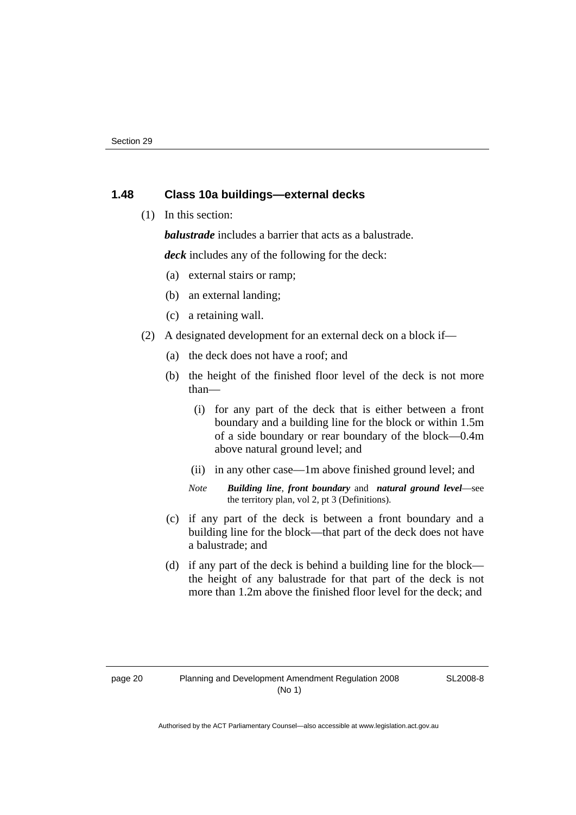# **1.48 Class 10a buildings—external decks**

(1) In this section:

*balustrade* includes a barrier that acts as a balustrade.

*deck* includes any of the following for the deck:

- (a) external stairs or ramp;
- (b) an external landing;
- (c) a retaining wall.
- (2) A designated development for an external deck on a block if—
	- (a) the deck does not have a roof; and
	- (b) the height of the finished floor level of the deck is not more than—
		- (i) for any part of the deck that is either between a front boundary and a building line for the block or within 1.5m of a side boundary or rear boundary of the block—0.4m above natural ground level; and
		- (ii) in any other case—1m above finished ground level; and
		- *Note Building line*, *front boundary* and *natural ground level*—see the territory plan, vol 2, pt 3 (Definitions).
	- (c) if any part of the deck is between a front boundary and a building line for the block—that part of the deck does not have a balustrade; and
	- (d) if any part of the deck is behind a building line for the block the height of any balustrade for that part of the deck is not more than 1.2m above the finished floor level for the deck; and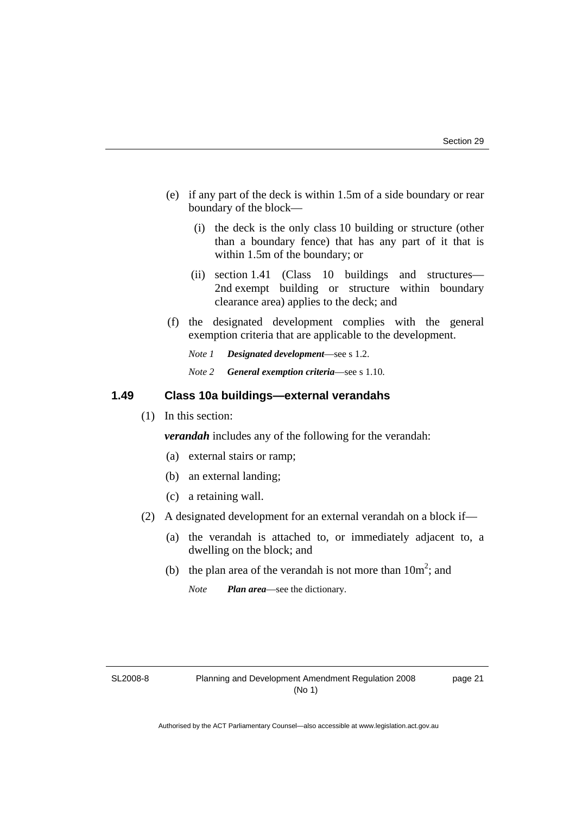- (e) if any part of the deck is within 1.5m of a side boundary or rear boundary of the block—
	- (i) the deck is the only class 10 building or structure (other than a boundary fence) that has any part of it that is within 1.5m of the boundary; or
	- (ii) section 1.41 (Class 10 buildings and structures— 2nd exempt building or structure within boundary clearance area) applies to the deck; and
- (f) the designated development complies with the general exemption criteria that are applicable to the development.
	- *Note 1 Designated development*—see s 1.2.
	- *Note 2 General exemption criteria*—see s 1.10.

# **1.49 Class 10a buildings—external verandahs**

(1) In this section:

*verandah* includes any of the following for the verandah:

- (a) external stairs or ramp;
- (b) an external landing;
- (c) a retaining wall.
- (2) A designated development for an external verandah on a block if—
	- (a) the verandah is attached to, or immediately adjacent to, a dwelling on the block; and
- (b) the plan area of the verandah is not more than  $10m^2$ ; and

*Note Plan area*—see the dictionary.

SL2008-8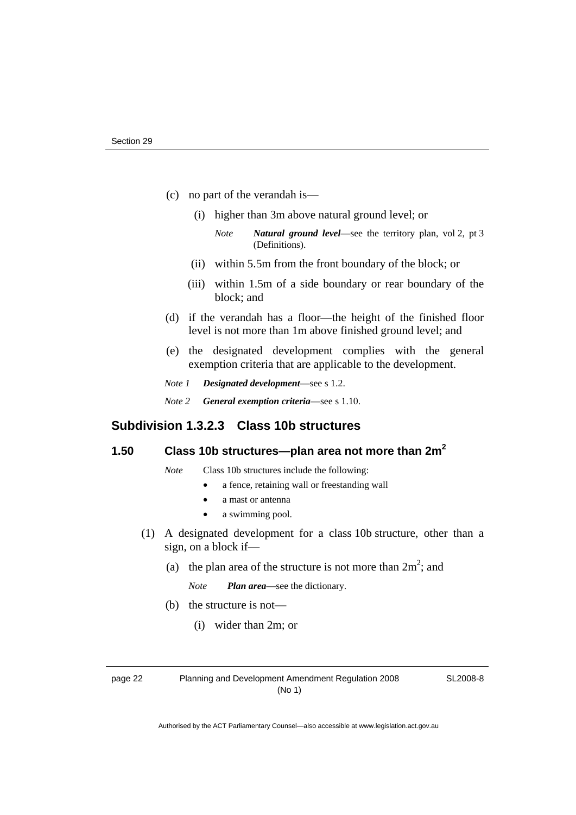- (c) no part of the verandah is—
	- (i) higher than 3m above natural ground level; or
		- *Note Natural ground level*—see the territory plan, vol 2, pt 3 (Definitions).
	- (ii) within 5.5m from the front boundary of the block; or
	- (iii) within 1.5m of a side boundary or rear boundary of the block; and
- (d) if the verandah has a floor—the height of the finished floor level is not more than 1m above finished ground level; and
- (e) the designated development complies with the general exemption criteria that are applicable to the development.
- *Note 1 Designated development*—see s 1.2.
- *Note 2 General exemption criteria*—see s 1.10.

# **Subdivision 1.3.2.3 Class 10b structures**

# **1.50 Class 10b structures—plan area not more than 2m2**

*Note* Class 10b structures include the following:

- a fence, retaining wall or freestanding wall
- a mast or antenna
- a swimming pool.
- (1) A designated development for a class 10b structure, other than a sign, on a block if—
- (a) the plan area of the structure is not more than  $2m^2$ ; and

*Note Plan area*—see the dictionary.

- (b) the structure is not—
	- (i) wider than 2m; or

page 22 Planning and Development Amendment Regulation 2008 (No 1)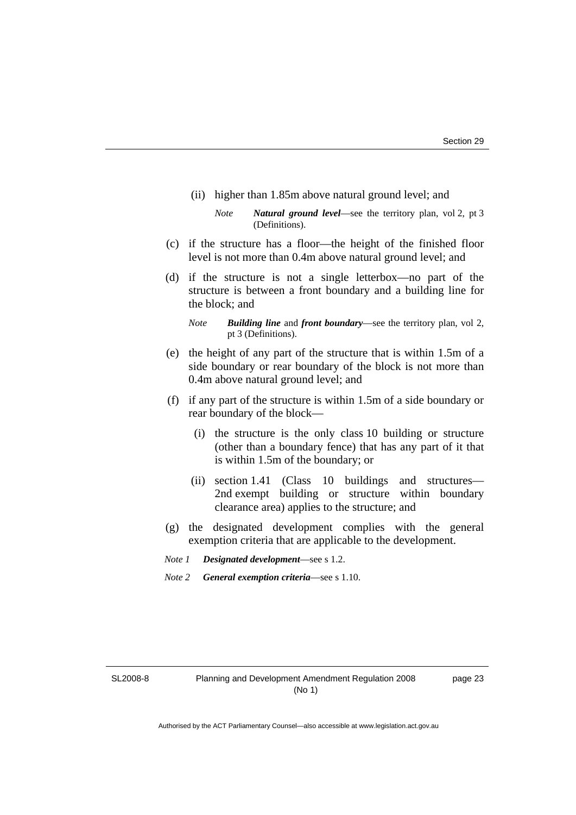(ii) higher than 1.85m above natural ground level; and

- (c) if the structure has a floor—the height of the finished floor level is not more than 0.4m above natural ground level; and
- (d) if the structure is not a single letterbox—no part of the structure is between a front boundary and a building line for the block; and
	- *Note Building line* and *front boundary*—see the territory plan, vol 2, pt 3 (Definitions).
- (e) the height of any part of the structure that is within 1.5m of a side boundary or rear boundary of the block is not more than 0.4m above natural ground level; and
- (f) if any part of the structure is within 1.5m of a side boundary or rear boundary of the block—
	- (i) the structure is the only class 10 building or structure (other than a boundary fence) that has any part of it that is within 1.5m of the boundary; or
	- (ii) section 1.41 (Class 10 buildings and structures— 2nd exempt building or structure within boundary clearance area) applies to the structure; and
- (g) the designated development complies with the general exemption criteria that are applicable to the development.
- *Note 1 Designated development*—see s 1.2.
- *Note 2 General exemption criteria*—see s 1.10.

SL2008-8

*Note Natural ground level*—see the territory plan, vol 2, pt 3 (Definitions).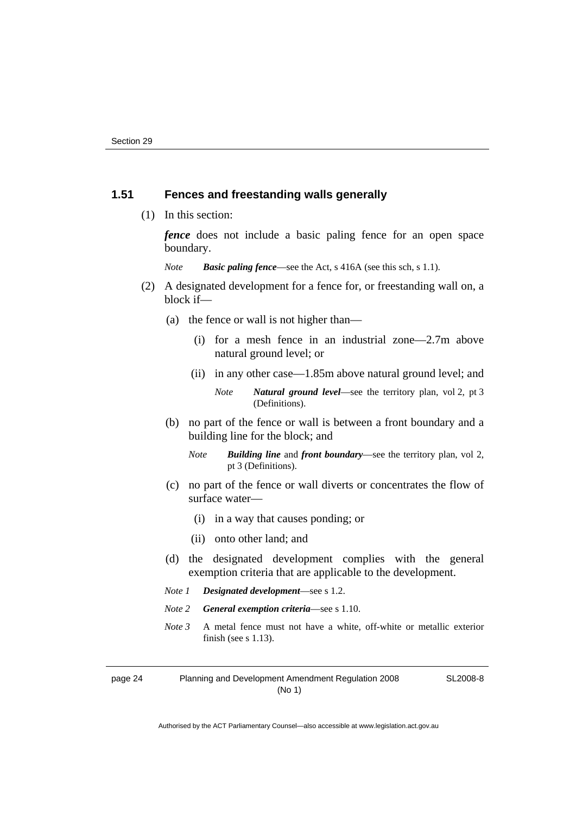# **1.51 Fences and freestanding walls generally**

(1) In this section:

*fence* does not include a basic paling fence for an open space boundary.

*Note Basic paling fence*—see the Act, s 416A (see this sch, s 1.1).

- (2) A designated development for a fence for, or freestanding wall on, a block if—
	- (a) the fence or wall is not higher than—
		- (i) for a mesh fence in an industrial zone—2.7m above natural ground level; or
		- (ii) in any other case—1.85m above natural ground level; and

*Note Natural ground level*—see the territory plan, vol 2, pt 3 (Definitions).

- (b) no part of the fence or wall is between a front boundary and a building line for the block; and
	- *Note Building line* and *front boundary*—see the territory plan, vol 2, pt 3 (Definitions).
- (c) no part of the fence or wall diverts or concentrates the flow of surface water—
	- (i) in a way that causes ponding; or
	- (ii) onto other land; and
- (d) the designated development complies with the general exemption criteria that are applicable to the development.
- *Note 1 Designated development*—see s 1.2.
- *Note 2 General exemption criteria*—see s 1.10.
- *Note 3* A metal fence must not have a white, off-white or metallic exterior finish (see s 1.13).

page 24 Planning and Development Amendment Regulation 2008 (No 1)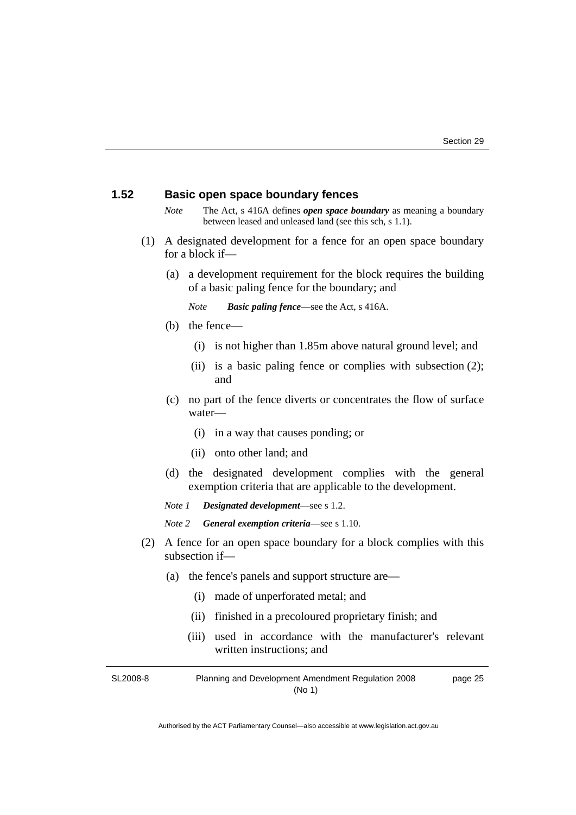## **1.52 Basic open space boundary fences**

- *Note* The Act, s 416A defines *open space boundary* as meaning a boundary between leased and unleased land (see this sch, s 1.1).
- (1) A designated development for a fence for an open space boundary for a block if—
	- (a) a development requirement for the block requires the building of a basic paling fence for the boundary; and

*Note Basic paling fence*—see the Act, s 416A.

- (b) the fence—
	- (i) is not higher than 1.85m above natural ground level; and
	- (ii) is a basic paling fence or complies with subsection (2); and
- (c) no part of the fence diverts or concentrates the flow of surface water—
	- (i) in a way that causes ponding; or
	- (ii) onto other land; and
- (d) the designated development complies with the general exemption criteria that are applicable to the development.

*Note 1 Designated development*—see s 1.2.

- *Note 2 General exemption criteria*—see s 1.10.
- (2) A fence for an open space boundary for a block complies with this subsection if—
	- (a) the fence's panels and support structure are—
		- (i) made of unperforated metal; and
		- (ii) finished in a precoloured proprietary finish; and
		- (iii) used in accordance with the manufacturer's relevant written instructions; and

SL2008-8 Planning and Development Amendment Regulation 2008 (No 1) page 25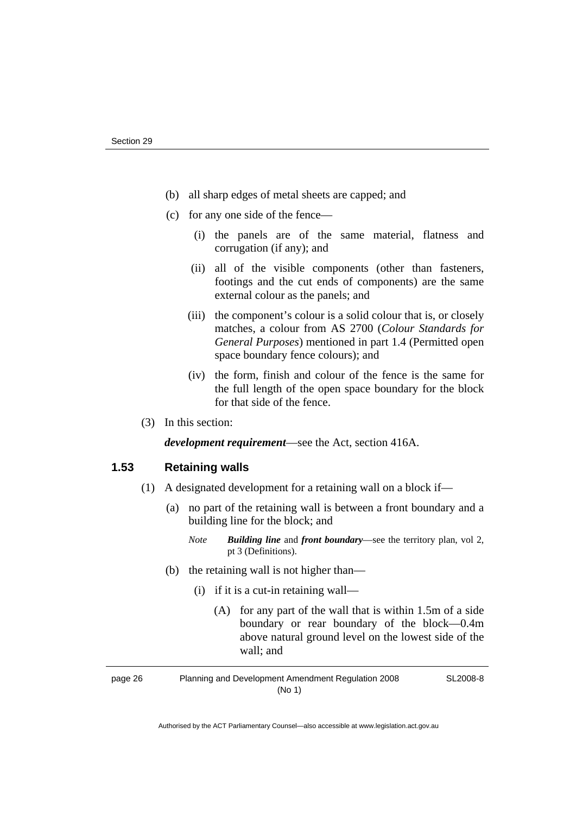- (b) all sharp edges of metal sheets are capped; and
- (c) for any one side of the fence—
	- (i) the panels are of the same material, flatness and corrugation (if any); and
	- (ii) all of the visible components (other than fasteners, footings and the cut ends of components) are the same external colour as the panels; and
	- (iii) the component's colour is a solid colour that is, or closely matches, a colour from AS 2700 (*Colour Standards for General Purposes*) mentioned in part 1.4 (Permitted open space boundary fence colours); and
	- (iv) the form, finish and colour of the fence is the same for the full length of the open space boundary for the block for that side of the fence.
- (3) In this section:

*development requirement*—see the Act, section 416A.

# **1.53 Retaining walls**

- (1) A designated development for a retaining wall on a block if—
	- (a) no part of the retaining wall is between a front boundary and a building line for the block; and
		- *Note Building line* and *front boundary*—see the territory plan, vol 2, pt 3 (Definitions).
	- (b) the retaining wall is not higher than—
		- (i) if it is a cut-in retaining wall—
			- (A) for any part of the wall that is within 1.5m of a side boundary or rear boundary of the block—0.4m above natural ground level on the lowest side of the wall; and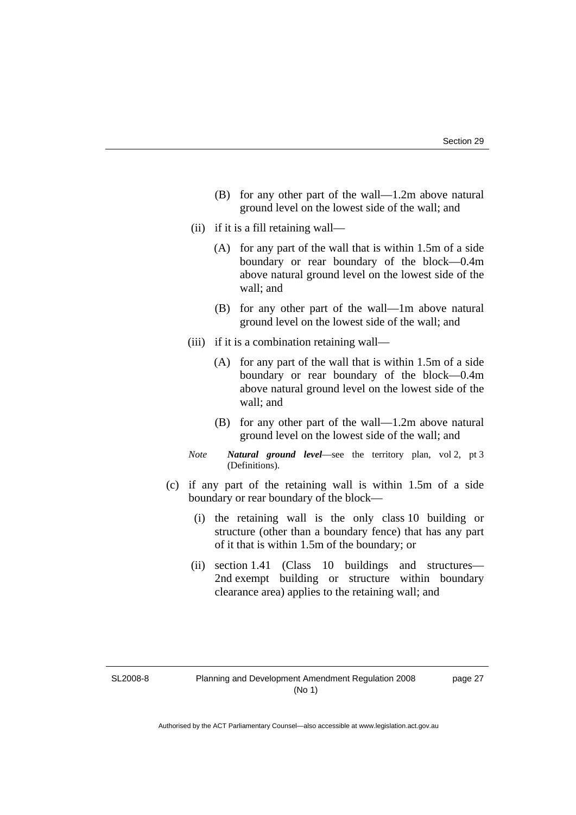- (B) for any other part of the wall—1.2m above natural ground level on the lowest side of the wall; and
- (ii) if it is a fill retaining wall—
	- (A) for any part of the wall that is within 1.5m of a side boundary or rear boundary of the block—0.4m above natural ground level on the lowest side of the wall; and
	- (B) for any other part of the wall—1m above natural ground level on the lowest side of the wall; and
- (iii) if it is a combination retaining wall—
	- (A) for any part of the wall that is within 1.5m of a side boundary or rear boundary of the block—0.4m above natural ground level on the lowest side of the wall; and
	- (B) for any other part of the wall—1.2m above natural ground level on the lowest side of the wall; and
- *Note Natural ground level*—see the territory plan, vol 2, pt 3 (Definitions).
- (c) if any part of the retaining wall is within 1.5m of a side boundary or rear boundary of the block—
	- (i) the retaining wall is the only class 10 building or structure (other than a boundary fence) that has any part of it that is within 1.5m of the boundary; or
	- (ii) section 1.41 (Class 10 buildings and structures— 2nd exempt building or structure within boundary clearance area) applies to the retaining wall; and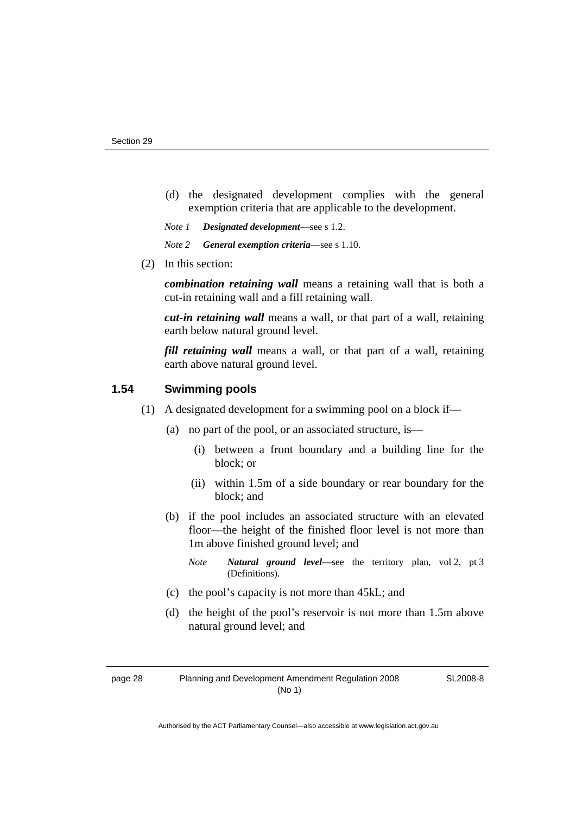- (d) the designated development complies with the general exemption criteria that are applicable to the development.
- *Note 1 Designated development*—see s 1.2.
- *Note 2 General exemption criteria*—see s 1.10.
- (2) In this section:

*combination retaining wall* means a retaining wall that is both a cut-in retaining wall and a fill retaining wall.

*cut-in retaining wall* means a wall, or that part of a wall, retaining earth below natural ground level.

*fill retaining wall* means a wall, or that part of a wall, retaining earth above natural ground level.

# **1.54 Swimming pools**

- (1) A designated development for a swimming pool on a block if—
	- (a) no part of the pool, or an associated structure, is—
		- (i) between a front boundary and a building line for the block; or
		- (ii) within 1.5m of a side boundary or rear boundary for the block; and
	- (b) if the pool includes an associated structure with an elevated floor—the height of the finished floor level is not more than 1m above finished ground level; and
		- *Note Natural ground level*—see the territory plan, vol 2, pt 3 (Definitions).
	- (c) the pool's capacity is not more than 45kL; and
	- (d) the height of the pool's reservoir is not more than 1.5m above natural ground level; and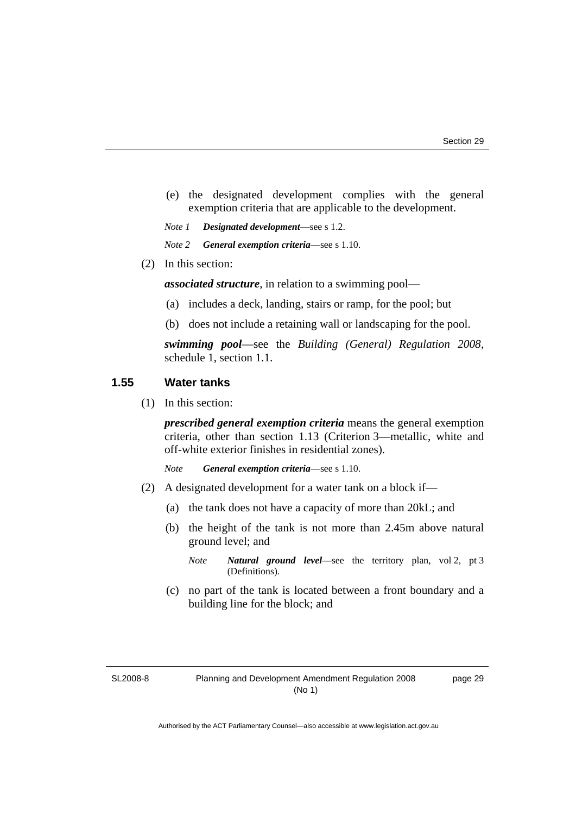- (e) the designated development complies with the general exemption criteria that are applicable to the development.
- *Note 1 Designated development*—see s 1.2.
- *Note 2 General exemption criteria*—see s 1.10.
- (2) In this section:

*associated structure*, in relation to a swimming pool—

- (a) includes a deck, landing, stairs or ramp, for the pool; but
- (b) does not include a retaining wall or landscaping for the pool.

*swimming pool*—see the *Building (General) Regulation 2008*, schedule 1, section 1.1.

#### **1.55 Water tanks**

(1) In this section:

*prescribed general exemption criteria* means the general exemption criteria, other than section 1.13 (Criterion 3—metallic, white and off-white exterior finishes in residential zones).

*Note General exemption criteria*—see s 1.10.

- (2) A designated development for a water tank on a block if—
	- (a) the tank does not have a capacity of more than 20kL; and
	- (b) the height of the tank is not more than 2.45m above natural ground level; and
		- *Note Natural ground level*—see the territory plan, vol 2, pt 3 (Definitions).
	- (c) no part of the tank is located between a front boundary and a building line for the block; and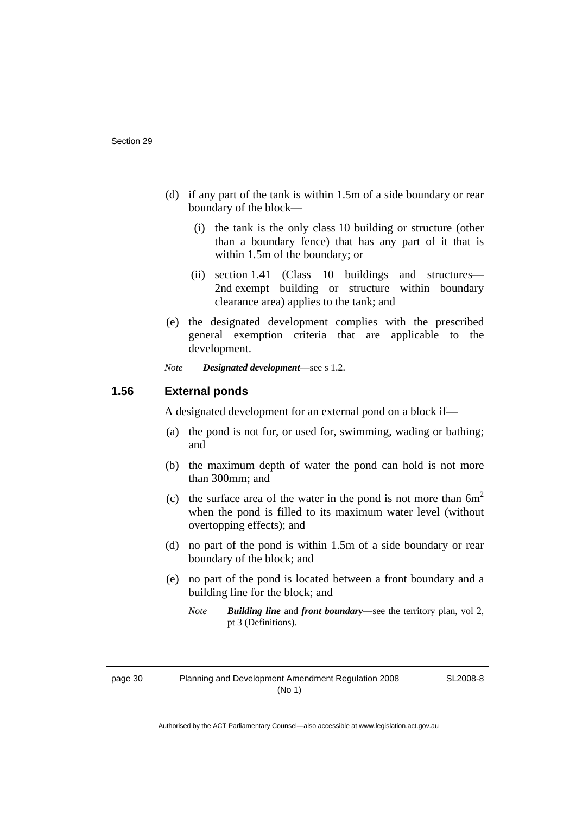- (d) if any part of the tank is within 1.5m of a side boundary or rear boundary of the block—
	- (i) the tank is the only class 10 building or structure (other than a boundary fence) that has any part of it that is within 1.5m of the boundary; or
	- (ii) section 1.41 (Class 10 buildings and structures— 2nd exempt building or structure within boundary clearance area) applies to the tank; and
- (e) the designated development complies with the prescribed general exemption criteria that are applicable to the development.

*Note Designated development*—see s 1.2.

# **1.56 External ponds**

A designated development for an external pond on a block if—

- (a) the pond is not for, or used for, swimming, wading or bathing; and
- (b) the maximum depth of water the pond can hold is not more than 300mm; and
- (c) the surface area of the water in the pond is not more than  $6m<sup>2</sup>$ when the pond is filled to its maximum water level (without overtopping effects); and
- (d) no part of the pond is within 1.5m of a side boundary or rear boundary of the block; and
- (e) no part of the pond is located between a front boundary and a building line for the block; and
	- *Note Building line* and *front boundary*—see the territory plan, vol 2, pt 3 (Definitions).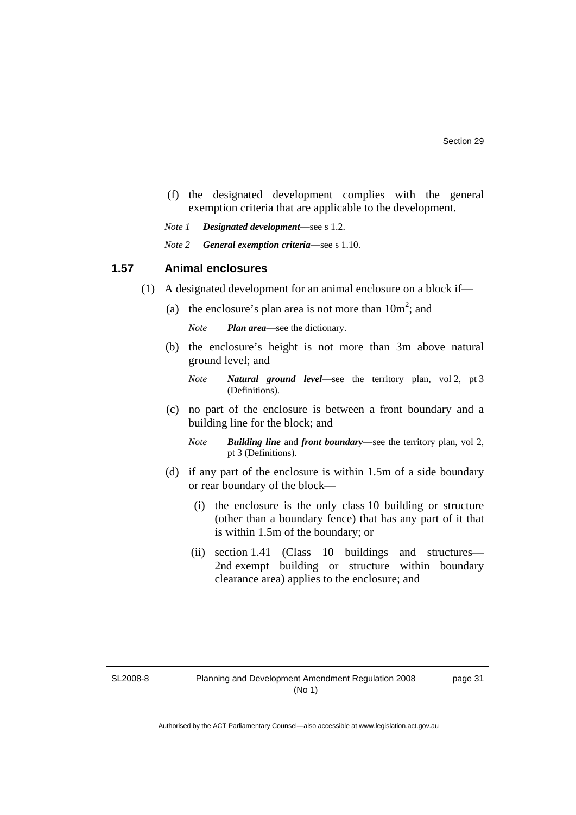- (f) the designated development complies with the general exemption criteria that are applicable to the development.
- *Note 1 Designated development*—see s 1.2.
- *Note 2 General exemption criteria*—see s 1.10.

#### **1.57 Animal enclosures**

- (1) A designated development for an animal enclosure on a block if—
- (a) the enclosure's plan area is not more than  $10m^2$ ; and

*Note Plan area*—see the dictionary.

 (b) the enclosure's height is not more than 3m above natural ground level; and

- (c) no part of the enclosure is between a front boundary and a building line for the block; and
	- *Note Building line* and *front boundary*—see the territory plan, vol 2, pt 3 (Definitions).
- (d) if any part of the enclosure is within 1.5m of a side boundary or rear boundary of the block—
	- (i) the enclosure is the only class 10 building or structure (other than a boundary fence) that has any part of it that is within 1.5m of the boundary; or
	- (ii) section 1.41 (Class 10 buildings and structures— 2nd exempt building or structure within boundary clearance area) applies to the enclosure; and

SL2008-8

*Note Natural ground level*—see the territory plan, vol 2, pt 3 (Definitions).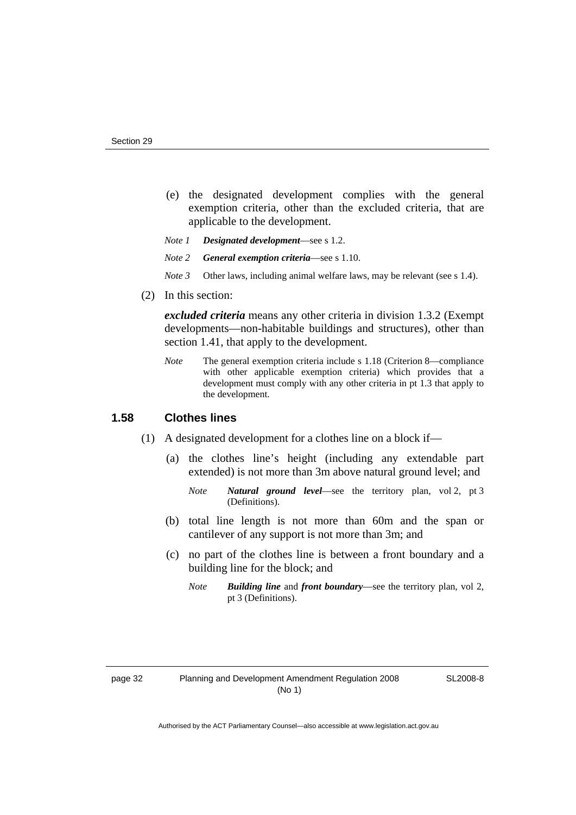- (e) the designated development complies with the general exemption criteria, other than the excluded criteria, that are applicable to the development.
- *Note 1 Designated development*—see s 1.2.
- *Note 2 General exemption criteria*—see s 1.10.
- *Note 3* Other laws, including animal welfare laws, may be relevant (see s 1.4).
- (2) In this section:

*excluded criteria* means any other criteria in division 1.3.2 (Exempt developments—non-habitable buildings and structures), other than section 1.41, that apply to the development.

*Note* The general exemption criteria include s 1.18 (Criterion 8—compliance with other applicable exemption criteria) which provides that a development must comply with any other criteria in pt 1.3 that apply to the development.

# **1.58 Clothes lines**

- (1) A designated development for a clothes line on a block if—
	- (a) the clothes line's height (including any extendable part extended) is not more than 3m above natural ground level; and
		- *Note Natural ground level*—see the territory plan, vol 2, pt 3 (Definitions).
	- (b) total line length is not more than 60m and the span or cantilever of any support is not more than 3m; and
	- (c) no part of the clothes line is between a front boundary and a building line for the block; and
		- *Note Building line* and *front boundary*—see the territory plan, vol 2, pt 3 (Definitions).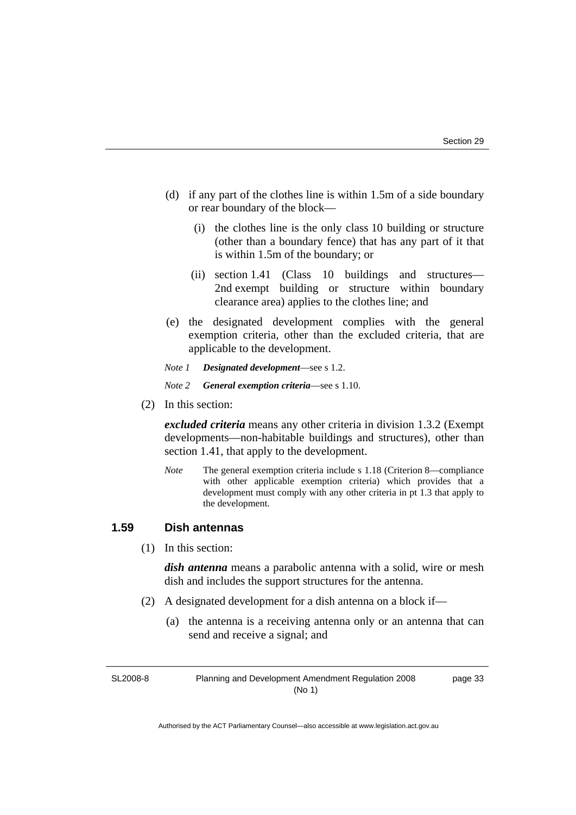- (d) if any part of the clothes line is within 1.5m of a side boundary or rear boundary of the block—
	- (i) the clothes line is the only class 10 building or structure (other than a boundary fence) that has any part of it that is within 1.5m of the boundary; or
	- (ii) section 1.41 (Class 10 buildings and structures— 2nd exempt building or structure within boundary clearance area) applies to the clothes line; and
- (e) the designated development complies with the general exemption criteria, other than the excluded criteria, that are applicable to the development.
- *Note 1 Designated development*—see s 1.2.
- *Note 2 General exemption criteria*—see s 1.10.
- (2) In this section:

*excluded criteria* means any other criteria in division 1.3.2 (Exempt developments—non-habitable buildings and structures), other than section 1.41, that apply to the development.

*Note* The general exemption criteria include s 1.18 (Criterion 8—compliance with other applicable exemption criteria) which provides that a development must comply with any other criteria in pt 1.3 that apply to the development.

# **1.59 Dish antennas**

(1) In this section:

*dish antenna* means a parabolic antenna with a solid, wire or mesh dish and includes the support structures for the antenna.

- (2) A designated development for a dish antenna on a block if—
	- (a) the antenna is a receiving antenna only or an antenna that can send and receive a signal; and

SL2008-8 Planning and Development Amendment Regulation 2008 (No 1) page 33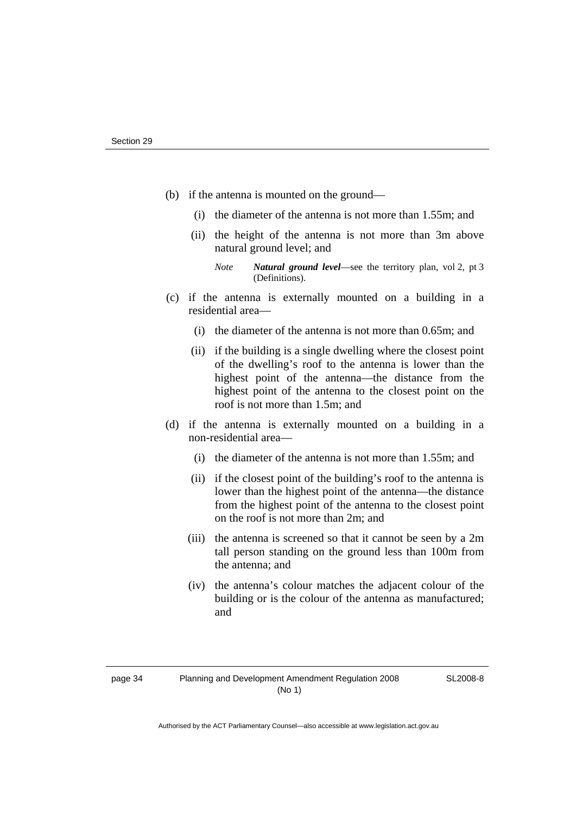- (b) if the antenna is mounted on the ground—
	- (i) the diameter of the antenna is not more than 1.55m; and
	- (ii) the height of the antenna is not more than 3m above natural ground level; and
		- *Note Natural ground level*—see the territory plan, vol 2, pt 3 (Definitions).
- (c) if the antenna is externally mounted on a building in a residential area—
	- (i) the diameter of the antenna is not more than 0.65m; and
	- (ii) if the building is a single dwelling where the closest point of the dwelling's roof to the antenna is lower than the highest point of the antenna—the distance from the highest point of the antenna to the closest point on the roof is not more than 1.5m; and
- (d) if the antenna is externally mounted on a building in a non-residential area—
	- (i) the diameter of the antenna is not more than 1.55m; and
	- (ii) if the closest point of the building's roof to the antenna is lower than the highest point of the antenna—the distance from the highest point of the antenna to the closest point on the roof is not more than 2m; and
	- (iii) the antenna is screened so that it cannot be seen by a 2m tall person standing on the ground less than 100m from the antenna; and
	- (iv) the antenna's colour matches the adjacent colour of the building or is the colour of the antenna as manufactured; and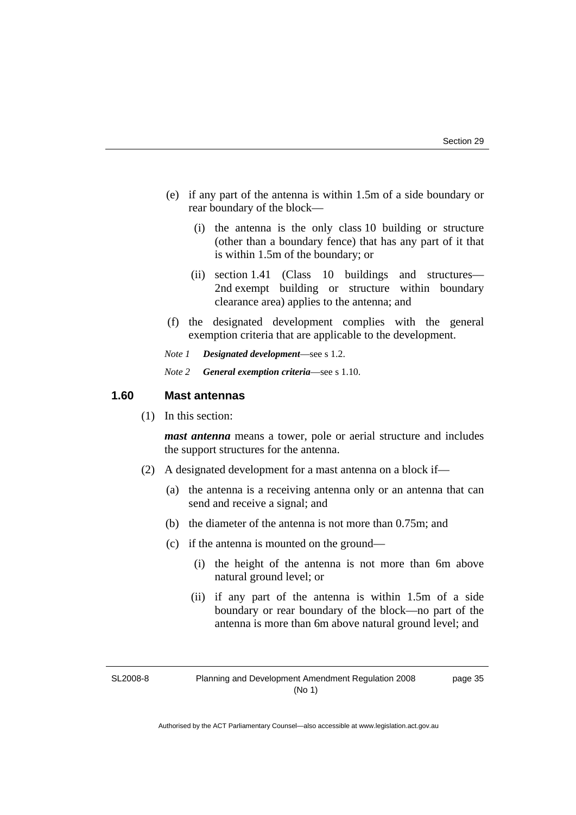- (e) if any part of the antenna is within 1.5m of a side boundary or rear boundary of the block—
	- (i) the antenna is the only class 10 building or structure (other than a boundary fence) that has any part of it that is within 1.5m of the boundary; or
	- (ii) section 1.41 (Class 10 buildings and structures— 2nd exempt building or structure within boundary clearance area) applies to the antenna; and
- (f) the designated development complies with the general exemption criteria that are applicable to the development.
- *Note 1 Designated development*—see s 1.2.
- *Note 2 General exemption criteria*—see s 1.10.

## **1.60 Mast antennas**

(1) In this section:

*mast antenna* means a tower, pole or aerial structure and includes the support structures for the antenna.

- (2) A designated development for a mast antenna on a block if—
	- (a) the antenna is a receiving antenna only or an antenna that can send and receive a signal; and
	- (b) the diameter of the antenna is not more than 0.75m; and
	- (c) if the antenna is mounted on the ground—
		- (i) the height of the antenna is not more than 6m above natural ground level; or
		- (ii) if any part of the antenna is within 1.5m of a side boundary or rear boundary of the block—no part of the antenna is more than 6m above natural ground level; and

SL2008-8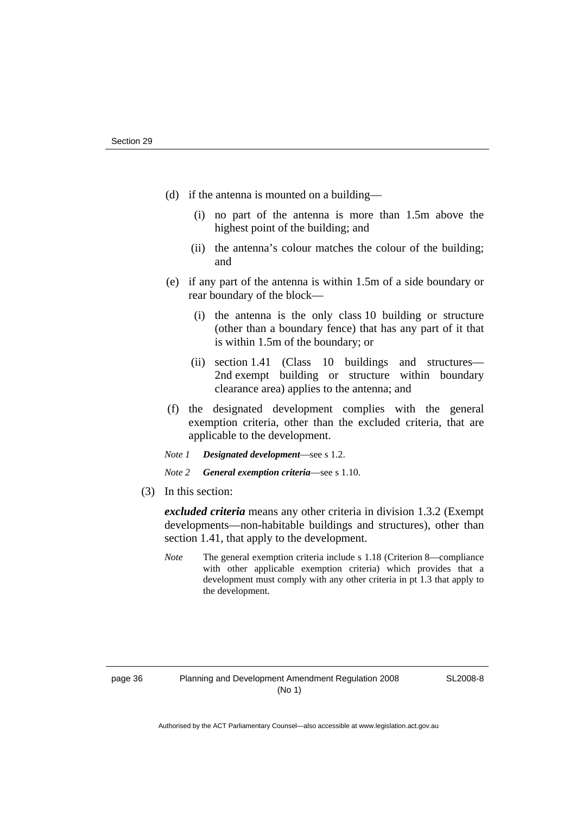- (d) if the antenna is mounted on a building—
	- (i) no part of the antenna is more than 1.5m above the highest point of the building; and
	- (ii) the antenna's colour matches the colour of the building; and
- (e) if any part of the antenna is within 1.5m of a side boundary or rear boundary of the block—
	- (i) the antenna is the only class 10 building or structure (other than a boundary fence) that has any part of it that is within 1.5m of the boundary; or
	- (ii) section 1.41 (Class 10 buildings and structures— 2nd exempt building or structure within boundary clearance area) applies to the antenna; and
- (f) the designated development complies with the general exemption criteria, other than the excluded criteria, that are applicable to the development.
- *Note 1 Designated development*—see s 1.2.
- *Note 2 General exemption criteria*—see s 1.10.
- (3) In this section:

*excluded criteria* means any other criteria in division 1.3.2 (Exempt developments—non-habitable buildings and structures), other than section 1.41, that apply to the development.

*Note* The general exemption criteria include s 1.18 (Criterion 8—compliance with other applicable exemption criteria) which provides that a development must comply with any other criteria in pt 1.3 that apply to the development.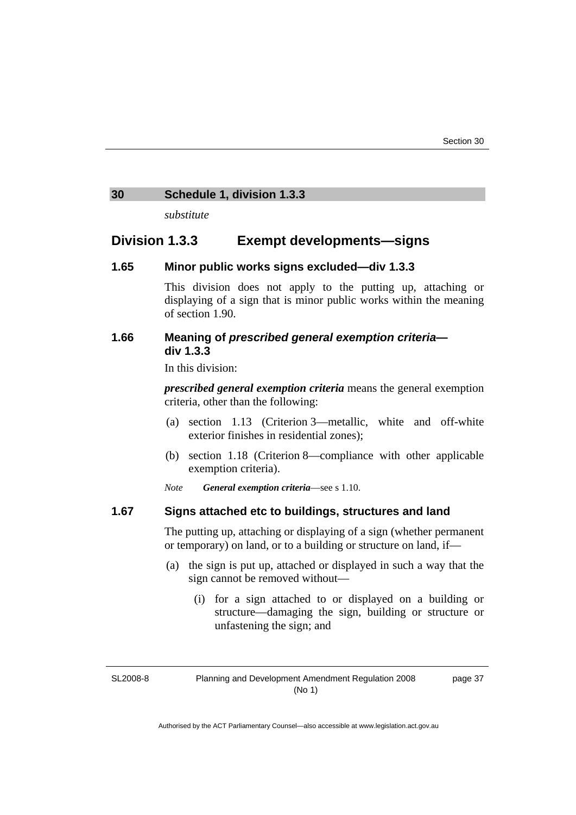## <span id="page-42-0"></span>**30 Schedule 1, division 1.3.3**

*substitute* 

# **Division 1.3.3 Exempt developments—signs**

## **1.65 Minor public works signs excluded—div 1.3.3**

This division does not apply to the putting up, attaching or displaying of a sign that is minor public works within the meaning of section 1.90.

## **1.66 Meaning of** *prescribed general exemption criteria* **div 1.3.3**

In this division:

*prescribed general exemption criteria* means the general exemption criteria, other than the following:

- (a) section 1.13 (Criterion 3—metallic, white and off-white exterior finishes in residential zones);
- (b) section 1.18 (Criterion 8—compliance with other applicable exemption criteria).
- *Note General exemption criteria*—see s 1.10.

#### **1.67 Signs attached etc to buildings, structures and land**

The putting up, attaching or displaying of a sign (whether permanent or temporary) on land, or to a building or structure on land, if—

- (a) the sign is put up, attached or displayed in such a way that the sign cannot be removed without—
	- (i) for a sign attached to or displayed on a building or structure—damaging the sign, building or structure or unfastening the sign; and

SL2008-8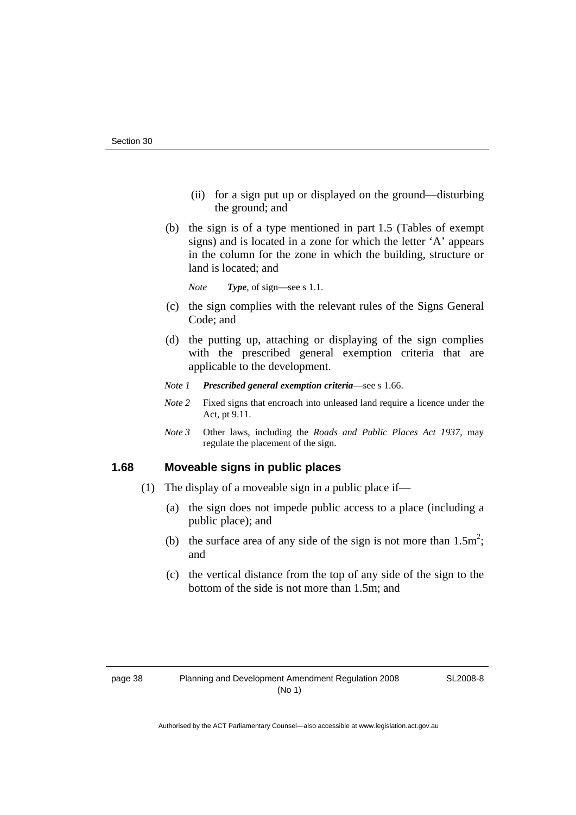- (ii) for a sign put up or displayed on the ground—disturbing the ground; and
- (b) the sign is of a type mentioned in part 1.5 (Tables of exempt signs) and is located in a zone for which the letter 'A' appears in the column for the zone in which the building, structure or land is located; and

*Note Type*, of sign—see s 1.1.

- (c) the sign complies with the relevant rules of the Signs General Code; and
- (d) the putting up, attaching or displaying of the sign complies with the prescribed general exemption criteria that are applicable to the development.
- *Note 1 Prescribed general exemption criteria*—see s 1.66.
- *Note* 2 Fixed signs that encroach into unleased land require a licence under the Act, pt 9.11.
- *Note 3* Other laws, including the *Roads and Public Places Act 1937*, may regulate the placement of the sign.

# **1.68 Moveable signs in public places**

- (1) The display of a moveable sign in a public place if—
	- (a) the sign does not impede public access to a place (including a public place); and
- (b) the surface area of any side of the sign is not more than  $1.5m^2$ ; and
	- (c) the vertical distance from the top of any side of the sign to the bottom of the side is not more than 1.5m; and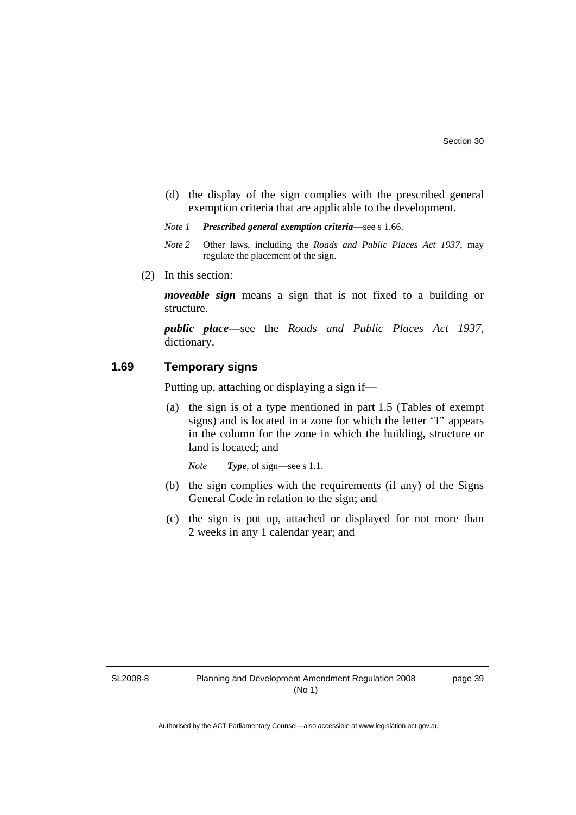- (d) the display of the sign complies with the prescribed general exemption criteria that are applicable to the development.
- *Note 1 Prescribed general exemption criteria*—see s 1.66.
- *Note 2* Other laws, including the *Roads and Public Places Act 1937*, may regulate the placement of the sign.
- (2) In this section:

*moveable sign* means a sign that is not fixed to a building or structure.

*public place*—see the *Roads and Public Places Act 1937*, dictionary.

# **1.69 Temporary signs**

Putting up, attaching or displaying a sign if—

 (a) the sign is of a type mentioned in part 1.5 (Tables of exempt signs) and is located in a zone for which the letter 'T' appears in the column for the zone in which the building, structure or land is located; and

*Note Type*, of sign—see s 1.1.

- (b) the sign complies with the requirements (if any) of the Signs General Code in relation to the sign; and
- (c) the sign is put up, attached or displayed for not more than 2 weeks in any 1 calendar year; and

SL2008-8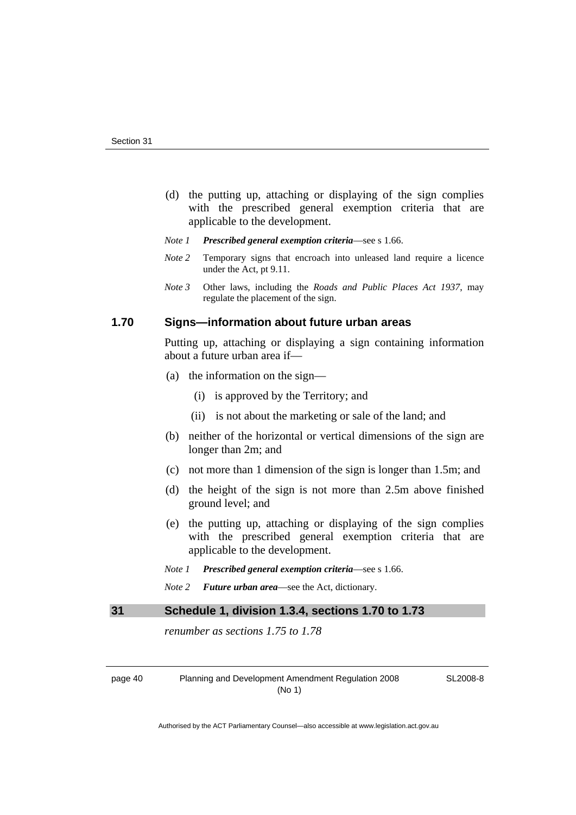- <span id="page-45-0"></span> (d) the putting up, attaching or displaying of the sign complies with the prescribed general exemption criteria that are applicable to the development.
- *Note 1 Prescribed general exemption criteria*—see s 1.66.
- *Note 2* Temporary signs that encroach into unleased land require a licence under the Act, pt 9.11.
- *Note 3* Other laws, including the *Roads and Public Places Act 1937*, may regulate the placement of the sign.

# **1.70 Signs—information about future urban areas**

Putting up, attaching or displaying a sign containing information about a future urban area if—

- (a) the information on the sign—
	- (i) is approved by the Territory; and
	- (ii) is not about the marketing or sale of the land; and
- (b) neither of the horizontal or vertical dimensions of the sign are longer than 2m; and
- (c) not more than 1 dimension of the sign is longer than 1.5m; and
- (d) the height of the sign is not more than 2.5m above finished ground level; and
- (e) the putting up, attaching or displaying of the sign complies with the prescribed general exemption criteria that are applicable to the development.

*Note 1 Prescribed general exemption criteria*—see s 1.66.

*Note 2 Future urban area*—see the Act, dictionary.

# **31 Schedule 1, division 1.3.4, sections 1.70 to 1.73**

*renumber as sections 1.75 to 1.78* 

page 40 Planning and Development Amendment Regulation 2008 (No 1)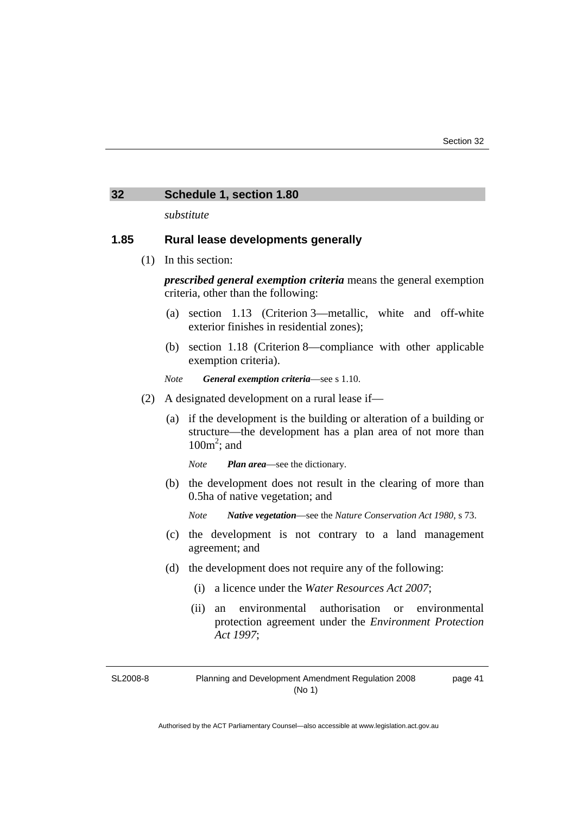#### <span id="page-46-0"></span>**32 Schedule 1, section 1.80**

*substitute* 

## **1.85 Rural lease developments generally**

(1) In this section:

*prescribed general exemption criteria* means the general exemption criteria, other than the following:

- (a) section 1.13 (Criterion 3—metallic, white and off-white exterior finishes in residential zones);
- (b) section 1.18 (Criterion 8—compliance with other applicable exemption criteria).
- *Note General exemption criteria*—see s 1.10.
- (2) A designated development on a rural lease if—
	- (a) if the development is the building or alteration of a building or structure—the development has a plan area of not more than  $100m^2$ ; and

*Note Plan area*—see the dictionary.

 (b) the development does not result in the clearing of more than 0.5ha of native vegetation; and

*Note Native vegetation*—see the *Nature Conservation Act 1980*, s 73.

- (c) the development is not contrary to a land management agreement; and
- (d) the development does not require any of the following:
	- (i) a licence under the *Water Resources Act 2007*;
	- (ii) an environmental authorisation or environmental protection agreement under the *Environment Protection Act 1997*;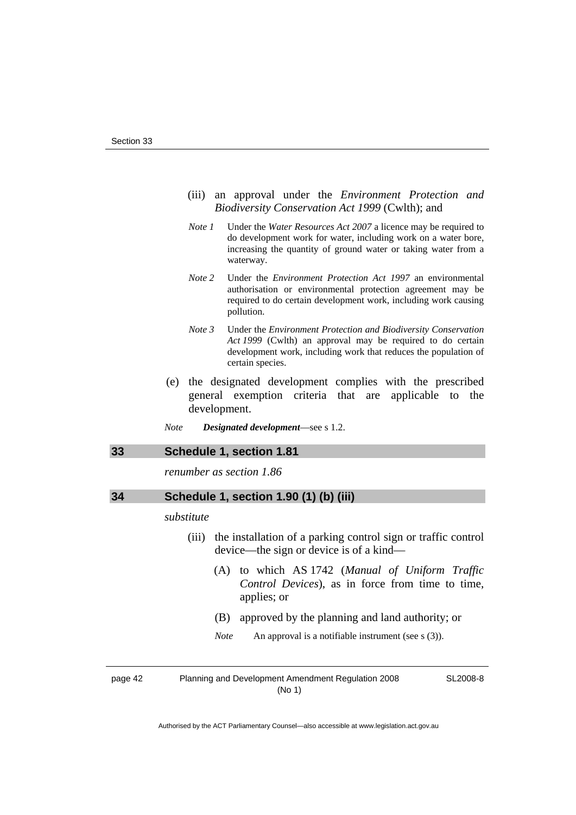- <span id="page-47-0"></span> (iii) an approval under the *Environment Protection and Biodiversity Conservation Act 1999* (Cwlth); and
- *Note 1* Under the *Water Resources Act 2007* a licence may be required to do development work for water, including work on a water bore, increasing the quantity of ground water or taking water from a waterway.
- *Note 2* Under the *Environment Protection Act 1997* an environmental authorisation or environmental protection agreement may be required to do certain development work, including work causing pollution.
- *Note 3* Under the *Environment Protection and Biodiversity Conservation Act 1999* (Cwlth) an approval may be required to do certain development work, including work that reduces the population of certain species.
- (e) the designated development complies with the prescribed general exemption criteria that are applicable to the development.
- *Note Designated development*—see s 1.2.

#### **33 Schedule 1, section 1.81**

*renumber as section 1.86* 

| 34 | Schedule 1, section 1.90 (1) (b) (iii) |  |  |  |
|----|----------------------------------------|--|--|--|
|----|----------------------------------------|--|--|--|

#### *substitute*

- (iii) the installation of a parking control sign or traffic control device—the sign or device is of a kind—
	- (A) to which AS 1742 (*Manual of Uniform Traffic Control Devices*), as in force from time to time, applies; or
	- (B) approved by the planning and land authority; or
	- *Note* An approval is a notifiable instrument (see s (3)).

page 42 Planning and Development Amendment Regulation 2008 (No 1)

SL2008-8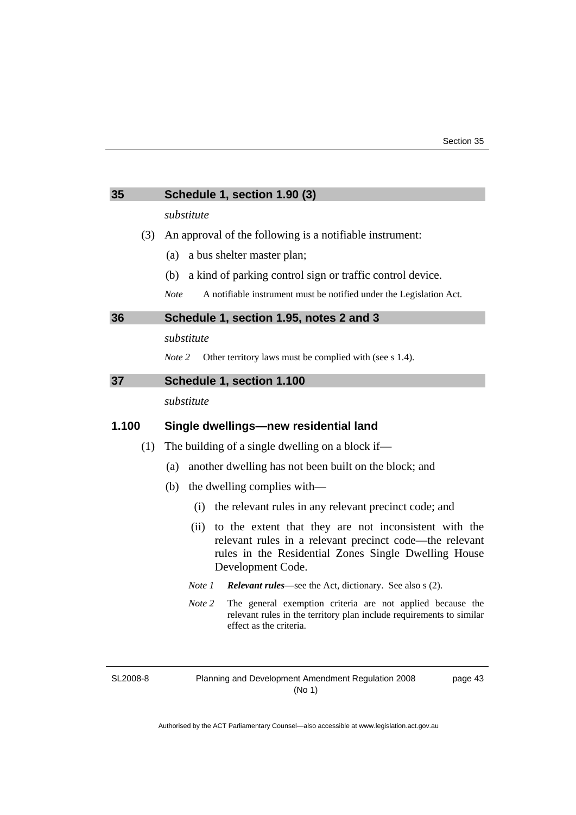<span id="page-48-0"></span>

| 35    | Schedule 1, section 1.90 (3)                                                                                                                                                                          |  |
|-------|-------------------------------------------------------------------------------------------------------------------------------------------------------------------------------------------------------|--|
|       | substitute                                                                                                                                                                                            |  |
| (3)   | An approval of the following is a notifiable instrument:                                                                                                                                              |  |
|       | a bus shelter master plan;<br>(a)                                                                                                                                                                     |  |
|       | a kind of parking control sign or traffic control device.<br>(b)                                                                                                                                      |  |
|       | <b>Note</b><br>A notifiable instrument must be notified under the Legislation Act.                                                                                                                    |  |
| 36    | Schedule 1, section 1.95, notes 2 and 3                                                                                                                                                               |  |
|       | substitute                                                                                                                                                                                            |  |
|       | Note 2<br>Other territory laws must be complied with (see s 1.4).                                                                                                                                     |  |
| 37    | Schedule 1, section 1.100                                                                                                                                                                             |  |
|       | substitute                                                                                                                                                                                            |  |
| 1.100 | Single dwellings-new residential land                                                                                                                                                                 |  |
| (1)   | The building of a single dwelling on a block if—                                                                                                                                                      |  |
|       | another dwelling has not been built on the block; and<br>(a)                                                                                                                                          |  |
|       | (b) the dwelling complies with—                                                                                                                                                                       |  |
|       |                                                                                                                                                                                                       |  |
|       | the relevant rules in any relevant precinct code; and<br>(i)                                                                                                                                          |  |
|       | to the extent that they are not inconsistent with the<br>(ii)<br>relevant rules in a relevant precinct code—the relevant<br>rules in the Residential Zones Single Dwelling House<br>Development Code. |  |
|       | <b>Relevant rules</b> —see the Act, dictionary. See also s (2).<br>Note 1                                                                                                                             |  |

SL2008-8

Planning and Development Amendment Regulation 2008 (No 1)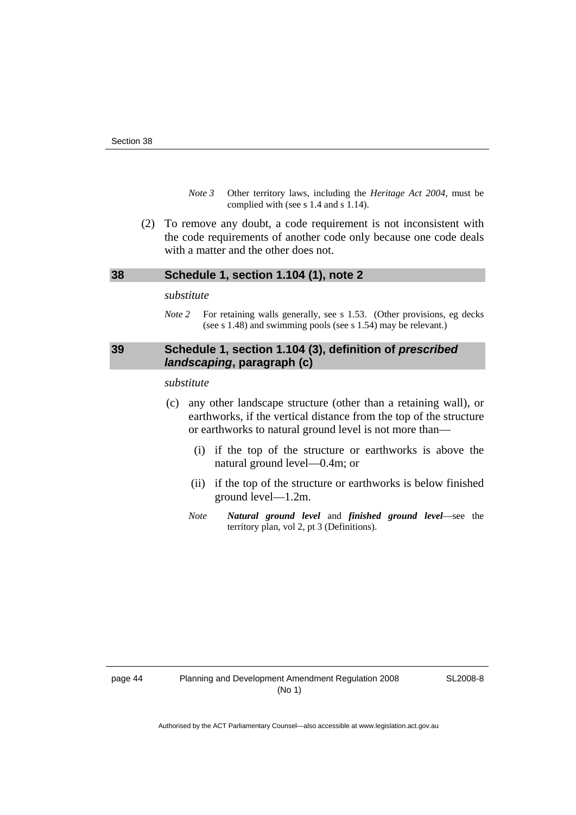- *Note 3* Other territory laws, including the *Heritage Act 2004*, must be complied with (see s 1.4 and s 1.14).
- <span id="page-49-0"></span> (2) To remove any doubt, a code requirement is not inconsistent with the code requirements of another code only because one code deals with a matter and the other does not.

#### **38 Schedule 1, section 1.104 (1), note 2**

#### *substitute*

*Note* 2 For retaining walls generally, see s 1.53. (Other provisions, eg decks (see s 1.48) and swimming pools (see s 1.54) may be relevant.)

# **39 Schedule 1, section 1.104 (3), definition of** *prescribed landscaping***, paragraph (c)**

#### *substitute*

- (c) any other landscape structure (other than a retaining wall), or earthworks, if the vertical distance from the top of the structure or earthworks to natural ground level is not more than—
	- (i) if the top of the structure or earthworks is above the natural ground level—0.4m; or
	- (ii) if the top of the structure or earthworks is below finished ground level—1.2m.
	- *Note Natural ground level* and *finished ground level*—see the territory plan, vol 2, pt 3 (Definitions).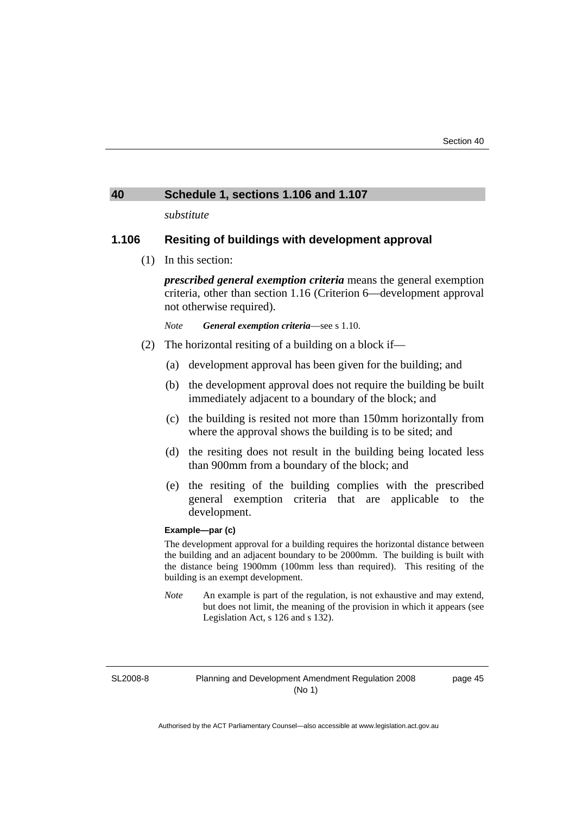#### <span id="page-50-0"></span>**40 Schedule 1, sections 1.106 and 1.107**

*substitute* 

## **1.106 Resiting of buildings with development approval**

(1) In this section:

*prescribed general exemption criteria* means the general exemption criteria, other than section 1.16 (Criterion 6—development approval not otherwise required).

*Note General exemption criteria*—see s 1.10.

- (2) The horizontal resiting of a building on a block if—
	- (a) development approval has been given for the building; and
	- (b) the development approval does not require the building be built immediately adjacent to a boundary of the block; and
	- (c) the building is resited not more than 150mm horizontally from where the approval shows the building is to be sited; and
	- (d) the resiting does not result in the building being located less than 900mm from a boundary of the block; and
	- (e) the resiting of the building complies with the prescribed general exemption criteria that are applicable to the development.

#### **Example—par (c)**

The development approval for a building requires the horizontal distance between the building and an adjacent boundary to be 2000mm. The building is built with the distance being 1900mm (100mm less than required). This resiting of the building is an exempt development.

*Note* An example is part of the regulation, is not exhaustive and may extend, but does not limit, the meaning of the provision in which it appears (see Legislation Act, s 126 and s 132).

SL2008-8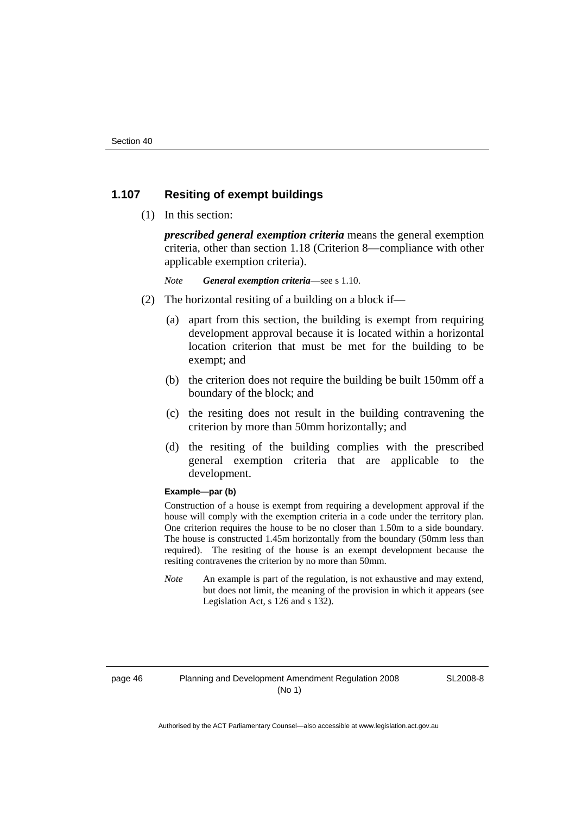# **1.107 Resiting of exempt buildings**

(1) In this section:

*prescribed general exemption criteria* means the general exemption criteria, other than section 1.18 (Criterion 8—compliance with other applicable exemption criteria).

*Note General exemption criteria*—see s 1.10.

- (2) The horizontal resiting of a building on a block if—
	- (a) apart from this section, the building is exempt from requiring development approval because it is located within a horizontal location criterion that must be met for the building to be exempt; and
	- (b) the criterion does not require the building be built 150mm off a boundary of the block; and
	- (c) the resiting does not result in the building contravening the criterion by more than 50mm horizontally; and
	- (d) the resiting of the building complies with the prescribed general exemption criteria that are applicable to the development.

#### **Example—par (b)**

Construction of a house is exempt from requiring a development approval if the house will comply with the exemption criteria in a code under the territory plan. One criterion requires the house to be no closer than 1.50m to a side boundary. The house is constructed 1.45m horizontally from the boundary (50mm less than required). The resiting of the house is an exempt development because the resiting contravenes the criterion by no more than 50mm.

*Note* An example is part of the regulation, is not exhaustive and may extend, but does not limit, the meaning of the provision in which it appears (see Legislation Act, s 126 and s 132).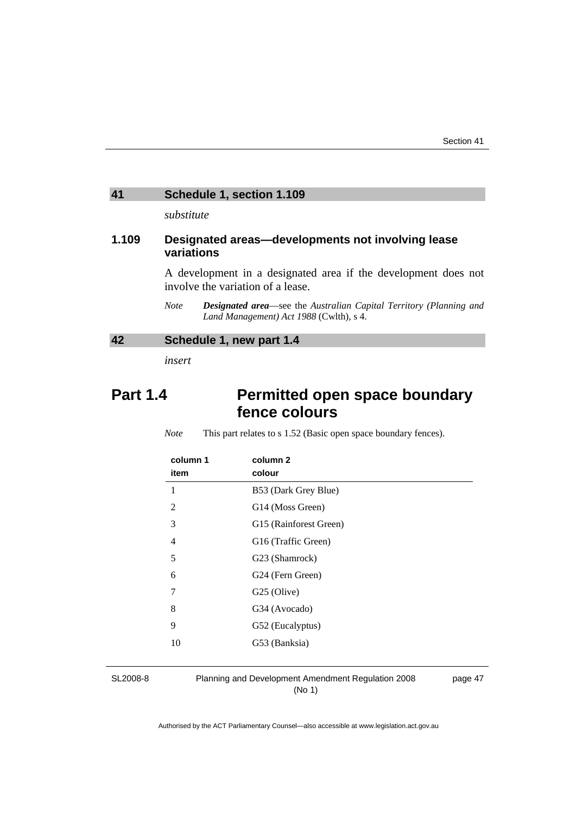# <span id="page-52-0"></span>**41 Schedule 1, section 1.109**

*substitute* 

# **1.109 Designated areas—developments not involving lease variations**

A development in a designated area if the development does not involve the variation of a lease.

*Note Designated area*—see the *Australian Capital Territory (Planning and Land Management) Act 1988* (Cwlth), s 4.

# **42 Schedule 1, new part 1.4**

*insert* 

# Part 1.4 **Permitted open space boundary fence colours**

*Note* This part relates to s 1.52 (Basic open space boundary fences).

| column 1<br>item | column 2<br>colour     |
|------------------|------------------------|
| 1                | B53 (Dark Grey Blue)   |
| $\overline{2}$   | G14 (Moss Green)       |
| 3                | G15 (Rainforest Green) |
| $\overline{4}$   | G16 (Traffic Green)    |
| 5                | G23 (Shamrock)         |
| 6                | G24 (Fern Green)       |
| 7                | G25 (Olive)            |
| 8                | G34 (Avocado)          |
| 9                | G52 (Eucalyptus)       |
| 10               | G53 (Banksia)          |

SL2008-8

Planning and Development Amendment Regulation 2008 (No 1)

page 47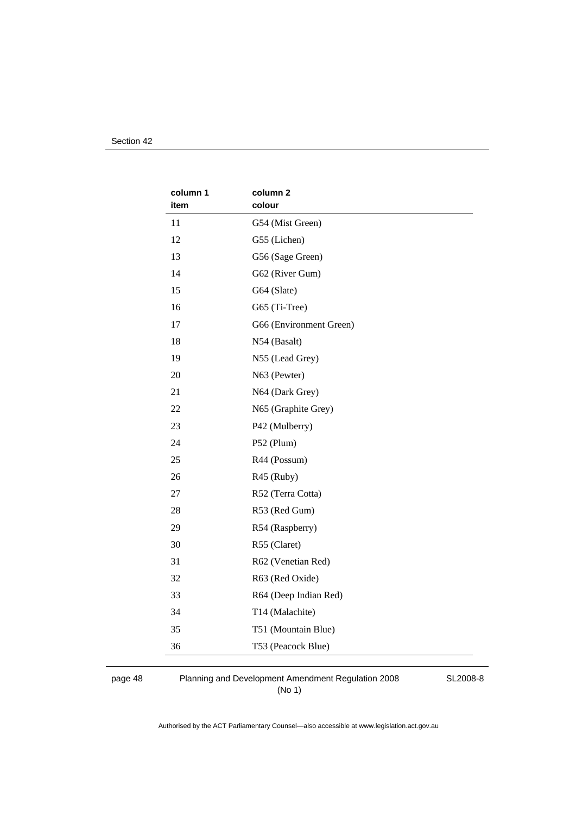| column 1 | column <sub>2</sub>     |
|----------|-------------------------|
| item     | colour                  |
| 11       | G54 (Mist Green)        |
| 12       | G55 (Lichen)            |
| 13       | G56 (Sage Green)        |
| 14       | G62 (River Gum)         |
| 15       | G64 (Slate)             |
| 16       | G65 (Ti-Tree)           |
| 17       | G66 (Environment Green) |
| 18       | N54 (Basalt)            |
| 19       | N55 (Lead Grey)         |
| 20       | N63 (Pewter)            |
| 21       | N64 (Dark Grey)         |
| 22       | N65 (Graphite Grey)     |
| 23       | P42 (Mulberry)          |
| 24       | P52 (Plum)              |
| 25       | R44 (Possum)            |
| 26       | R45 (Ruby)              |
| 27       | R52 (Terra Cotta)       |
| 28       | R53 (Red Gum)           |
| 29       | R54 (Raspberry)         |
| 30       | R55 (Claret)            |
| 31       | R62 (Venetian Red)      |
| 32       | R63 (Red Oxide)         |
| 33       | R64 (Deep Indian Red)   |
| 34       | T14 (Malachite)         |
| 35       | T51 (Mountain Blue)     |
| 36       | T53 (Peacock Blue)      |

page 48 Planning and Development Amendment Regulation 2008 (No 1)

SL2008-8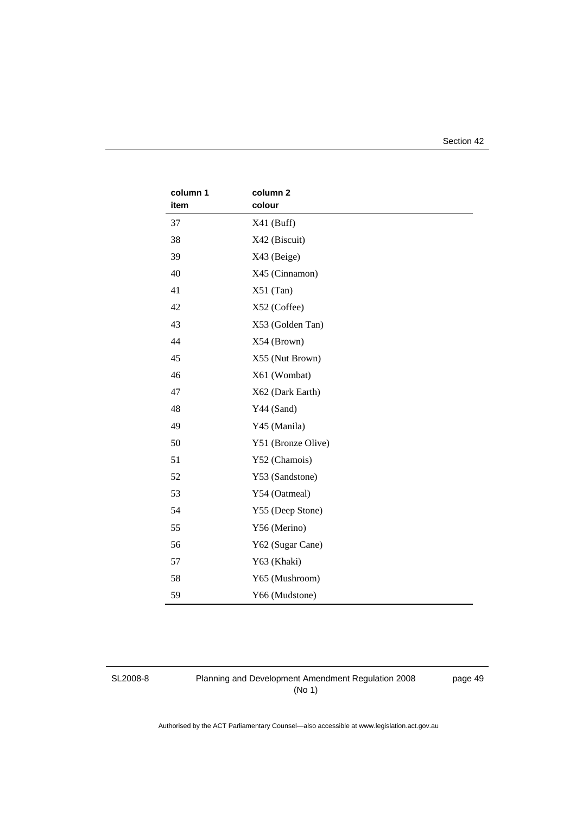Section 42

| column 1 | column <sub>2</sub> |
|----------|---------------------|
| item     | colour              |
| 37       | $X41$ (Buff)        |
| 38       | X42 (Biscuit)       |
| 39       | X43 (Beige)         |
| 40       | X45 (Cinnamon)      |
| 41       | $X51$ (Tan)         |
| 42       | X52 (Coffee)        |
| 43       | X53 (Golden Tan)    |
| 44       | X54 (Brown)         |
| 45       | X55 (Nut Brown)     |
| 46       | X61 (Wombat)        |
| 47       | X62 (Dark Earth)    |
| 48       | Y44 (Sand)          |
| 49       | Y45 (Manila)        |
| 50       | Y51 (Bronze Olive)  |
| 51       | Y52 (Chamois)       |
| 52       | Y53 (Sandstone)     |
| 53       | Y54 (Oatmeal)       |
| 54       | Y55 (Deep Stone)    |
| 55       | Y56 (Merino)        |
| 56       | Y62 (Sugar Cane)    |
| 57       | Y63 (Khaki)         |
| 58       | Y65 (Mushroom)      |
| 59       | Y66 (Mudstone)      |

SL2008-8

Planning and Development Amendment Regulation 2008 (No 1)

page 49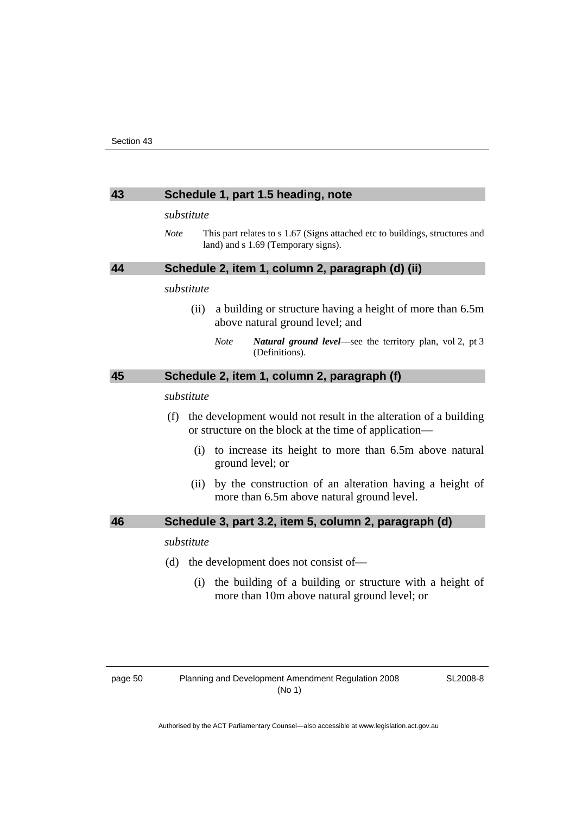#### <span id="page-55-0"></span>**43 Schedule 1, part 1.5 heading, note**

#### *substitute*

*Note* This part relates to s 1.67 (Signs attached etc to buildings, structures and land) and s 1.69 (Temporary signs).

# **44 Schedule 2, item 1, column 2, paragraph (d) (ii)**

## *substitute*

- (ii) a building or structure having a height of more than 6.5m above natural ground level; and
	- *Note Natural ground level*—see the territory plan, vol 2, pt 3 (Definitions).

# **45 Schedule 2, item 1, column 2, paragraph (f)**

#### *substitute*

- (f) the development would not result in the alteration of a building or structure on the block at the time of application—
	- (i) to increase its height to more than 6.5m above natural ground level; or
	- (ii) by the construction of an alteration having a height of more than 6.5m above natural ground level.

#### **46 Schedule 3, part 3.2, item 5, column 2, paragraph (d)**

#### *substitute*

- (d) the development does not consist of—
	- (i) the building of a building or structure with a height of more than 10m above natural ground level; or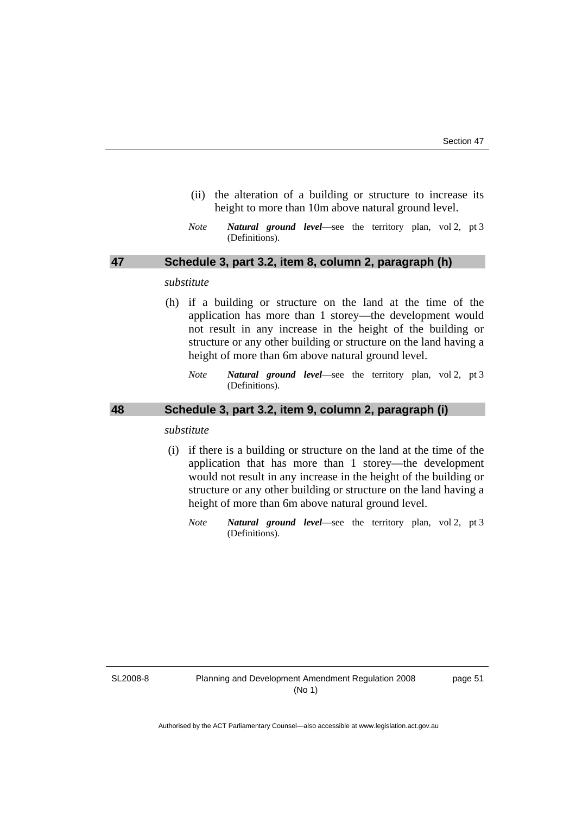- <span id="page-56-0"></span> (ii) the alteration of a building or structure to increase its height to more than 10m above natural ground level.
- *Note Natural ground level*—see the territory plan, vol 2, pt 3 (Definitions).

## **47 Schedule 3, part 3.2, item 8, column 2, paragraph (h)**

#### *substitute*

- (h) if a building or structure on the land at the time of the application has more than 1 storey—the development would not result in any increase in the height of the building or structure or any other building or structure on the land having a height of more than 6m above natural ground level.
	- *Note Natural ground level*—see the territory plan, vol 2, pt 3 (Definitions).

# **48 Schedule 3, part 3.2, item 9, column 2, paragraph (i)**

#### *substitute*

- (i) if there is a building or structure on the land at the time of the application that has more than 1 storey—the development would not result in any increase in the height of the building or structure or any other building or structure on the land having a height of more than 6m above natural ground level.
	- *Note Natural ground level*—see the territory plan, vol 2, pt 3 (Definitions).

SL2008-8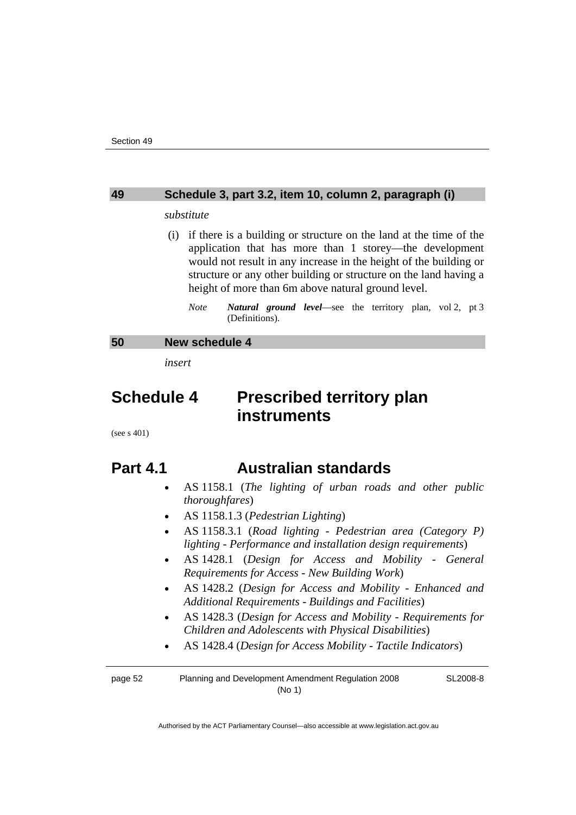#### <span id="page-57-0"></span>**49 Schedule 3, part 3.2, item 10, column 2, paragraph (i)**

#### *substitute*

- (i) if there is a building or structure on the land at the time of the application that has more than 1 storey—the development would not result in any increase in the height of the building or structure or any other building or structure on the land having a height of more than 6m above natural ground level.
	- *Note Natural ground level*—see the territory plan, vol 2, pt 3 (Definitions).

#### **50 New schedule 4**

*insert* 

# **Schedule 4 Prescribed territory plan instruments**

(see s 401)

# **Part 4.1 Australian standards**

- AS 1158.1 (*The lighting of urban roads and other public thoroughfares*)
- AS 1158.1.3 (*Pedestrian Lighting*)
- AS 1158.3.1 (*Road lighting Pedestrian area (Category P) lighting - Performance and installation design requirements*)
- AS 1428.1 (*Design for Access and Mobility General Requirements for Access - New Building Work*)
- AS 1428.2 (*Design for Access and Mobility Enhanced and Additional Requirements - Buildings and Facilities*)
- AS 1428.3 (*Design for Access and Mobility Requirements for Children and Adolescents with Physical Disabilities*)
- AS 1428.4 (*Design for Access Mobility Tactile Indicators*)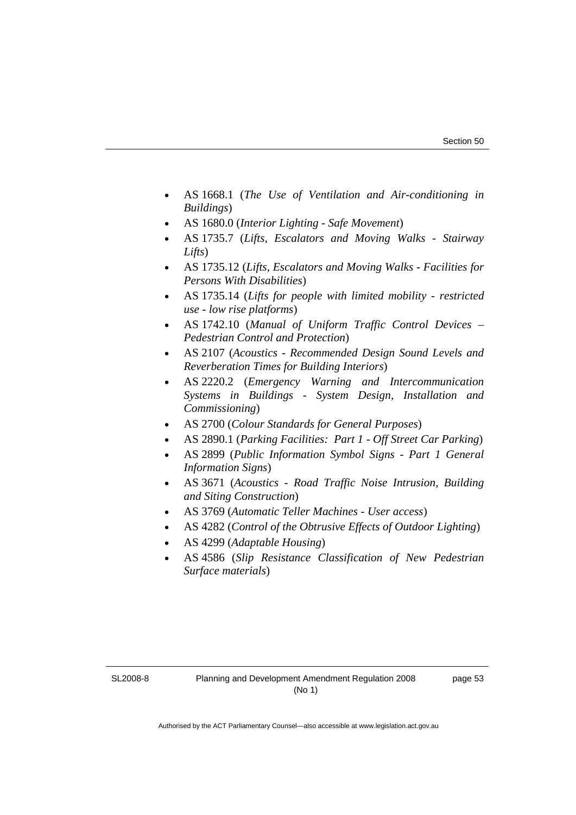- AS 1668.1 (*The Use of Ventilation and Air-conditioning in Buildings*)
- AS 1680.0 (*Interior Lighting Safe Movement*)
- AS 1735.7 (*Lifts, Escalators and Moving Walks Stairway Lifts*)
- AS 1735.12 (*Lifts, Escalators and Moving Walks Facilities for Persons With Disabilities*)
- AS 1735.14 (*Lifts for people with limited mobility restricted use - low rise platforms*)
- AS 1742.10 (*Manual of Uniform Traffic Control Devices Pedestrian Control and Protection*)
- AS 2107 (*Acoustics Recommended Design Sound Levels and Reverberation Times for Building Interiors*)
- AS 2220.2 (*Emergency Warning and Intercommunication Systems in Buildings - System Design, Installation and Commissioning*)
- AS 2700 (*Colour Standards for General Purposes*)
- AS 2890.1 (*Parking Facilities: Part 1 Off Street Car Parking*)
- AS 2899 (*Public Information Symbol Signs Part 1 General Information Signs*)
- AS 3671 (*Acoustics Road Traffic Noise Intrusion, Building and Siting Construction*)
- AS 3769 (*Automatic Teller Machines User access*)
- AS 4282 (*Control of the Obtrusive Effects of Outdoor Lighting*)
- AS 4299 (*Adaptable Housing*)
- AS 4586 (*Slip Resistance Classification of New Pedestrian Surface materials*)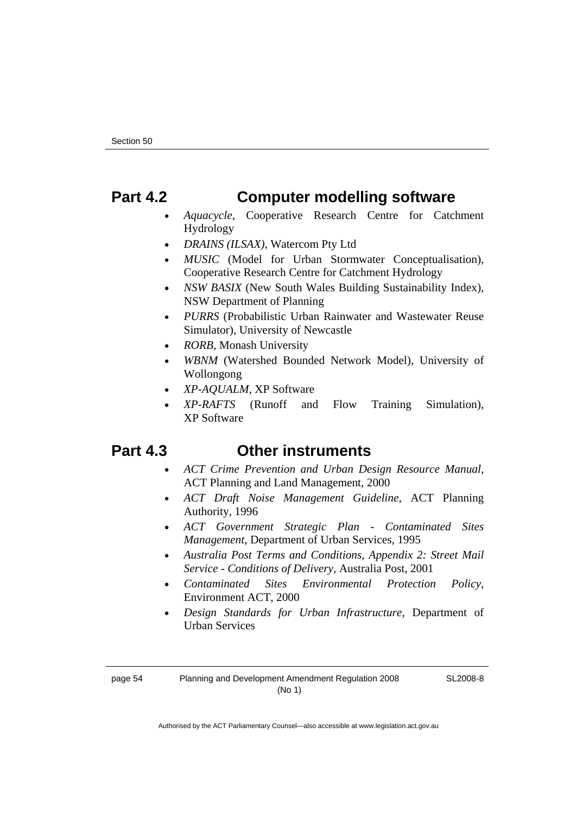# **Part 4.2 Computer modelling software**

- *Aquacycle*, Cooperative Research Centre for Catchment Hydrology
- *DRAINS (ILSAX)*, Watercom Pty Ltd
- *MUSIC* (Model for Urban Stormwater Conceptualisation), Cooperative Research Centre for Catchment Hydrology
- *NSW BASIX* (New South Wales Building Sustainability Index), NSW Department of Planning
- *PURRS* (Probabilistic Urban Rainwater and Wastewater Reuse Simulator), University of Newcastle
- *RORB*, Monash University
- *WBNM* (Watershed Bounded Network Model), University of Wollongong
- *XP-AQUALM*, XP Software
- *XP-RAFTS* (Runoff and Flow Training Simulation), XP Software

# **Part 4.3 Other instruments**

- *ACT Crime Prevention and Urban Design Resource Manual*, ACT Planning and Land Management, 2000
- *ACT Draft Noise Management Guideline*, ACT Planning Authority, 1996
- *ACT Government Strategic Plan Contaminated Sites Management*, Department of Urban Services, 1995
- *Australia Post Terms and Conditions, Appendix 2: Street Mail Service - Conditions of Delivery*, Australia Post, 2001
- *Contaminated Sites Environmental Protection Policy*, Environment ACT, 2000
- *Design Standards for Urban Infrastructure*, Department of Urban Services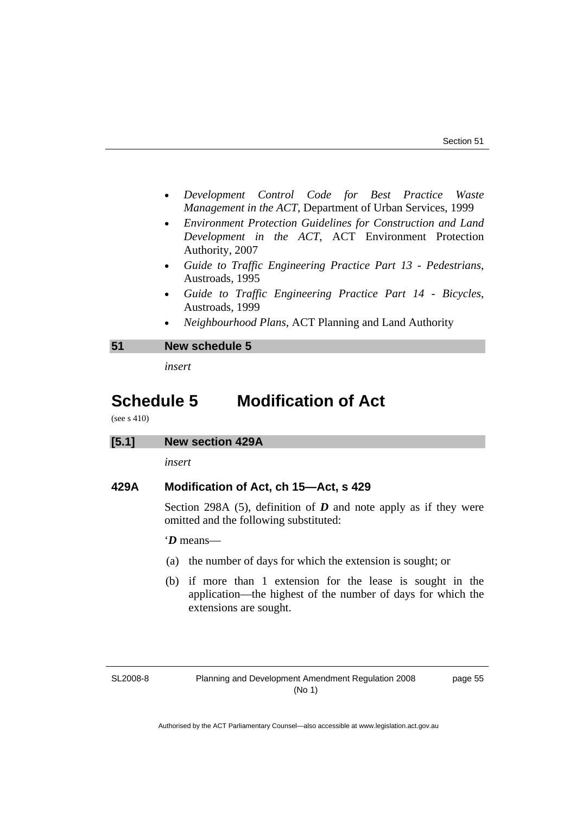- <span id="page-60-0"></span>• *Development Control Code for Best Practice Waste Management in the ACT*, Department of Urban Services, 1999
- *Environment Protection Guidelines for Construction and Land Development in the ACT*, ACT Environment Protection Authority, 2007
- *Guide to Traffic Engineering Practice Part 13 Pedestrians*, Austroads, 1995
- *Guide to Traffic Engineering Practice Part 14 Bicycles*, Austroads, 1999
- *Neighbourhood Plans*, ACT Planning and Land Authority

#### **51 New schedule 5**

*insert* 

# **Schedule 5 Modification of Act**

(see s 410)

*insert* 

## **429A Modification of Act, ch 15—Act, s 429**

Section 298A (5), definition of  $D$  and note apply as if they were omitted and the following substituted:

'*D* means—

- (a) the number of days for which the extension is sought; or
- (b) if more than 1 extension for the lease is sought in the application—the highest of the number of days for which the extensions are sought.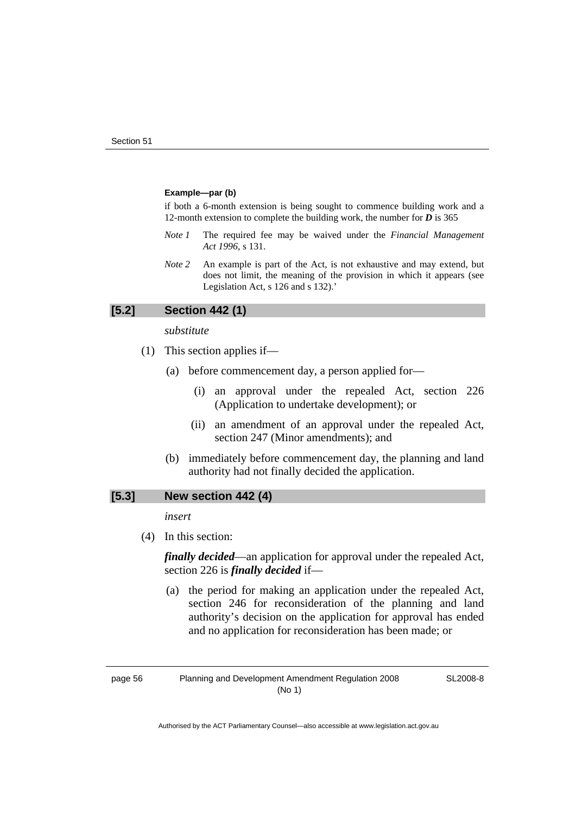#### **Example—par (b)**

if both a 6-month extension is being sought to commence building work and a 12-month extension to complete the building work, the number for *D* is 365

- *Note 1* The required fee may be waived under the *Financial Management Act 1996*, s 131.
- *Note 2* An example is part of the Act, is not exhaustive and may extend, but does not limit, the meaning of the provision in which it appears (see Legislation Act, s 126 and s 132).'

#### **[5.2] Section 442 (1)**

#### *substitute*

- (1) This section applies if—
	- (a) before commencement day, a person applied for—
		- (i) an approval under the repealed Act, section 226 (Application to undertake development); or
		- (ii) an amendment of an approval under the repealed Act, section 247 (Minor amendments); and
	- (b) immediately before commencement day, the planning and land authority had not finally decided the application.

#### **[5.3] New section 442 (4)**

*insert* 

(4) In this section:

*finally decided*—an application for approval under the repealed Act, section 226 is *finally decided* if—

 (a) the period for making an application under the repealed Act, section 246 for reconsideration of the planning and land authority's decision on the application for approval has ended and no application for reconsideration has been made; or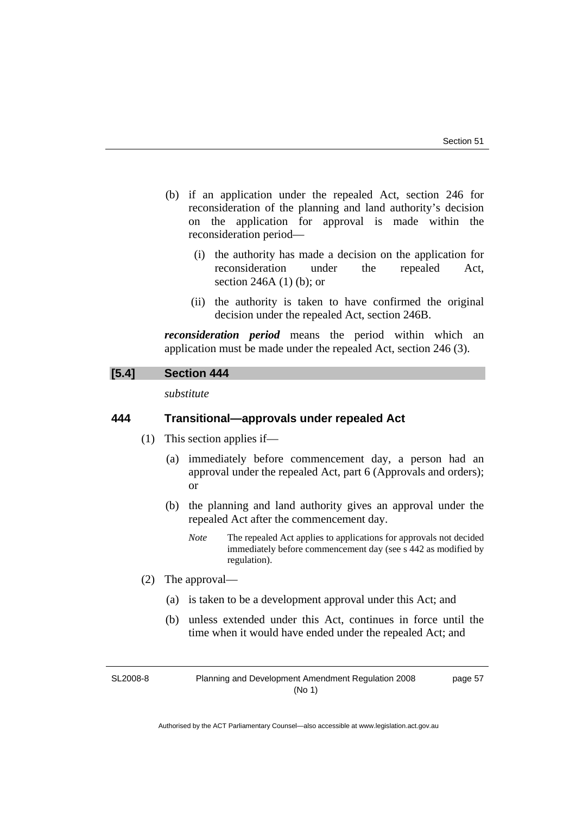page 57

- (b) if an application under the repealed Act, section 246 for reconsideration of the planning and land authority's decision on the application for approval is made within the reconsideration period—
	- (i) the authority has made a decision on the application for reconsideration under the repealed Act, section 246A (1) (b); or
	- (ii) the authority is taken to have confirmed the original decision under the repealed Act, section 246B.

*reconsideration period* means the period within which an application must be made under the repealed Act, section 246 (3).

# **[5.4] Section 444**

*substitute* 

# **444 Transitional—approvals under repealed Act**

- (1) This section applies if—
	- (a) immediately before commencement day, a person had an approval under the repealed Act, part 6 (Approvals and orders); or
	- (b) the planning and land authority gives an approval under the repealed Act after the commencement day.
		- *Note* The repealed Act applies to applications for approvals not decided immediately before commencement day (see s 442 as modified by regulation).
- (2) The approval—
	- (a) is taken to be a development approval under this Act; and
	- (b) unless extended under this Act, continues in force until the time when it would have ended under the repealed Act; and

SL2008-8

Planning and Development Amendment Regulation 2008 (No 1)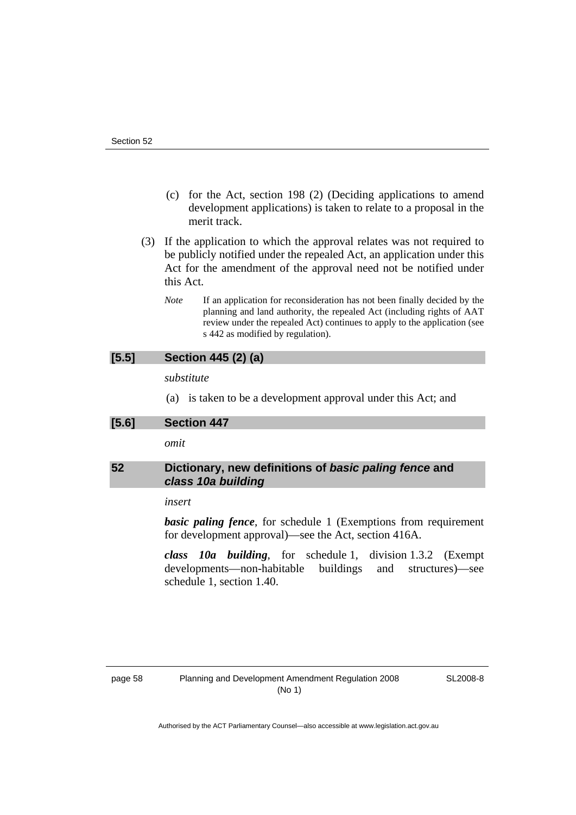- <span id="page-63-0"></span> (c) for the Act, section 198 (2) (Deciding applications to amend development applications) is taken to relate to a proposal in the merit track.
- (3) If the application to which the approval relates was not required to be publicly notified under the repealed Act, an application under this Act for the amendment of the approval need not be notified under this Act.
	- *Note* If an application for reconsideration has not been finally decided by the planning and land authority, the repealed Act (including rights of AAT review under the repealed Act) continues to apply to the application (see s 442 as modified by regulation).

# **[5.5] Section 445 (2) (a)**

*substitute* 

(a) is taken to be a development approval under this Act; and

**[5.6] Section 447** 

*omit* 

# **52 Dictionary, new definitions of** *basic paling fence* **and**  *class 10a building*

#### *insert*

**basic paling fence**, for schedule 1 (Exemptions from requirement for development approval)—see the Act, section 416A.

*class 10a building*, for schedule 1, division 1.3.2 (Exempt developments—non-habitable buildings and structures)—see schedule 1, section 1.40.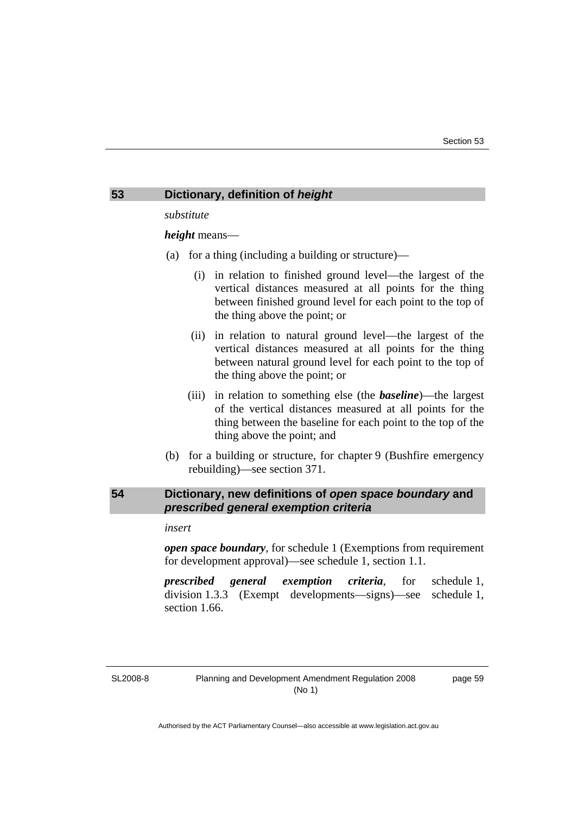#### <span id="page-64-0"></span>**53 Dictionary, definition of** *height*

*substitute* 

*height* means—

- (a) for a thing (including a building or structure)—
	- (i) in relation to finished ground level—the largest of the vertical distances measured at all points for the thing between finished ground level for each point to the top of the thing above the point; or
	- (ii) in relation to natural ground level—the largest of the vertical distances measured at all points for the thing between natural ground level for each point to the top of the thing above the point; or
	- (iii) in relation to something else (the *baseline*)—the largest of the vertical distances measured at all points for the thing between the baseline for each point to the top of the thing above the point; and
- (b) for a building or structure, for chapter 9 (Bushfire emergency rebuilding)—see section 371.

# **54 Dictionary, new definitions of** *open space boundary* **and**  *prescribed general exemption criteria*

#### *insert*

*open space boundary*, for schedule 1 (Exemptions from requirement for development approval)—see schedule 1, section 1.1.

*prescribed general exemption criteria*, for schedule 1, division 1.3.3 (Exempt developments—signs)—see schedule 1, section 1.66.

SL2008-8